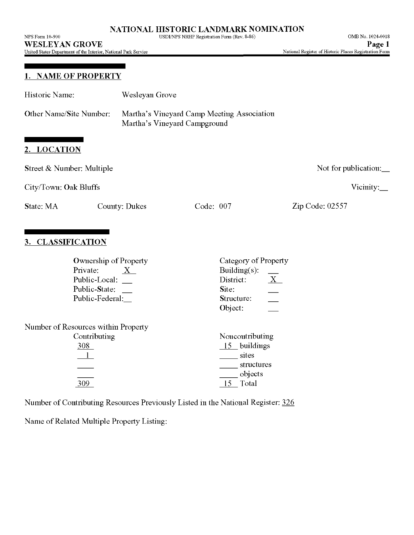NPS Form 10-900 USDI/NPS NRHP Registration Form (Rev. 8-86) OMB No. 1024-0018

**WESLEYAN GROVE**

United States Department of the Interior, National Park Service

## **1. NAME OF PROPERTY**

| Historic Name:            | Wesleyan Grove                                     |                                                                            |                      |  |  |  |  |
|---------------------------|----------------------------------------------------|----------------------------------------------------------------------------|----------------------|--|--|--|--|
| Other Name/Site Number:   |                                                    | Martha's Vineyard Camp Meeting Association<br>Martha's Vineyard Campground |                      |  |  |  |  |
| 2. LOCATION               |                                                    |                                                                            |                      |  |  |  |  |
| Street & Number: Multiple |                                                    |                                                                            | Not for publication: |  |  |  |  |
| City/Town: Oak Bluffs     |                                                    |                                                                            | Vicinity: $\Box$     |  |  |  |  |
| State: MA                 | County: Dukes                                      | Code: 007                                                                  | Zip Code: 02557      |  |  |  |  |
| 3. CLASSIFICATION         |                                                    |                                                                            |                      |  |  |  |  |
| Private:                  | <b>Ownership of Property</b><br>X<br>Public-Local: | Category of Property<br>Building $(s)$ :<br>District:                      | X                    |  |  |  |  |

| Public-Local:                       | District:       |  |
|-------------------------------------|-----------------|--|
| Public-State:                       | Site:           |  |
| Public-Federal:                     | Structure:      |  |
|                                     | Object:         |  |
| Number of Resources within Property |                 |  |
| Contributing                        | Noncontributing |  |
| 308                                 | 15 buildings    |  |
|                                     | sites           |  |
|                                     | structures      |  |
|                                     | objects         |  |
| 309                                 | Total           |  |
|                                     |                 |  |

Number of Contributing Resources Previously Listed in the National Register: 326

Name of Related Multiple Property Listing: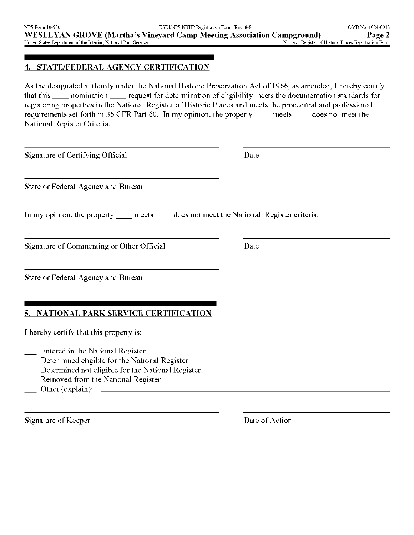### **4. STATE/FEDERAL AGENCY CERTIFICATION**

As the designated authority under the National Historic Preservation Act of 1966, as amended, I hereby certify that this \_\_\_ nomination \_\_\_ request for determination of eligibility meets the documentation standards for registering properties in the National Register of Historic Places and meets the procedural and professional requirements set forth in 36 CFR Part 60. In my opinion, the property \_\_\_ meets \_\_\_ does not meet the National Register Criteria.

Signature of Certifying Official Date

State or Federal Agency and Bureau

In my opinion, the property meets does not meet the National Register criteria.

Signature of Commenting or Other Official Date

State or Federal Agency and Bureau

## **5. NATIONAL PARK SERVICE CERTIFICATION**

I hereby certify that this property is:

- Entered in the National Register
- Determined eligible for the National Register
- Determined not eligible for the National Register
- Removed from the National Register
- Other (explain):  $\qquad \qquad$

Signature of Keeper Date of Action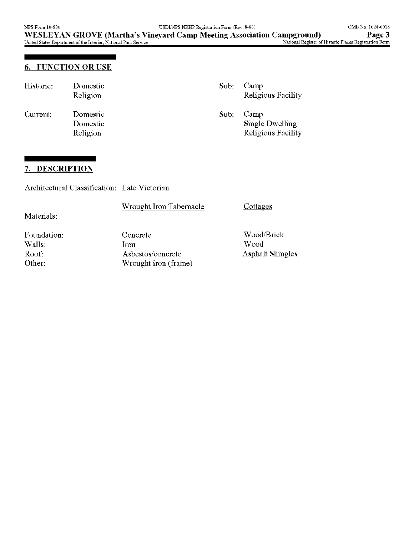## **6. FUNCTION OR USE**

| Historic: | Domestic<br>Religion             | Sub: | Camp<br>Religious Facility                    |
|-----------|----------------------------------|------|-----------------------------------------------|
| Current:  | Domestic<br>Domestic<br>Religion | Sub: | Camp<br>Single Dwelling<br>Religious Facility |

### **7. DESCRIPTION**

Architectural Classification: Late Victorian

٠

| Materials:                               | <b>Wrought Iron Tabernacle</b>                                             | Cottages                                      |
|------------------------------------------|----------------------------------------------------------------------------|-----------------------------------------------|
| Foundation:<br>Walls:<br>Roof:<br>Other: | Concrete<br><i><u>ron</u></i><br>Asbestos/concrete<br>Wrought iron (frame) | Wood/Brick<br>Wood<br><b>Asphalt Shingles</b> |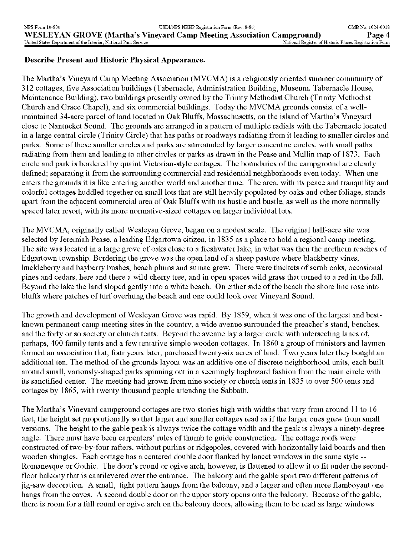### **Describe Present and Historic Physical Appearance.**

The Martha's Vineyard Camp Meeting Association (MVCMA) is a religiously oriented summer community of 312 cottages, five Association buildings (Tabernacle, Administration Building, Museum, Tabernacle House, Maintenance Building), two buildings presently owned by the Trinity Methodist Church (Trinity Methodist Church and Grace Chapel), and six commercial buildings. Today the MVCMA grounds consist of a wellmaintained 34-acre parcel of land located in Oak Bluffs, Massachusetts, on the island of Martha's Vineyard close to Nantucket Sound. The grounds are arranged in a pattern of multiple radials with the Tabernacle located in a large central circle (Trinity Circle) that has paths or roadways radiating from it leading to smaller circles and parks. Some of these smaller circles and parks are surrounded by larger concentric circles, with small paths radiating from them and leading to other circles or parks as drawn in the Pease and Mullin map of 1873. Each circle and park is bordered by quaint Victorian-style cottages. The boundaries of the campground are clearly defined; separating it from the surrounding commercial and residential neighborhoods even today. When one enters the grounds it is like entering another world and another time. The area, with its peace and tranquility and colorful cottages huddled together on small lots that are still heavily populated by oaks and other foliage, stands apart from the adjacent commercial area of Oak Bluffs with its hustle and bustle, as well as the more normally spaced later resort, with its more normative-sized cottages on larger individual lots.

The MVCMA, originally called Wesleyan Grove, began on a modest scale. The original half-acre site was selected by Jeremiah Pease, a leading Edgartown citizen, in 1835 as a place to hold a regional camp meeting. The site was located in a large grove of oaks close to a freshwater lake, in what was then the northern reaches of Edgartown township. Bordering the grove was the open land of a sheep pasture where blackberry vines, huckleberry and bayberry bushes, beach plums and sumac grew. There were thickets of scrub oaks, occasional pines and cedars, here and there a wild cherry tree, and in open spaces wild grass that turned to a red in the fall. Beyond the lake the land sloped gently into a white beach. On either side of the beach the shore line rose into bluffs where patches of turf overhung the beach and one could look over Vineyard Sound.

The growth and development of Wesleyan Grove was rapid. By 1859, when it was one of the largest and bestknown permanent camp meeting sites in the country, a wide avenue surrounded the preacher's stand, benches, and the forty or so society or church tents. Beyond the avenue lay a larger circle with intersecting lanes of, perhaps, 400 family tents and a few tentative simple wooden cottages. In 1860 a group of ministers and laymen formed an association that, four years later, purchased twenty-six acres of land. Two years later they bought an additional ten. The method of the grounds layout was an additive one of discrete neighborhood units, each built around small, variously-shaped parks spinning out in a seemingly haphazard fashion from the main circle with its sanctified center. The meeting had grown from nine society or church tents in 1835 to over 500 tents and cottages by 1865, with twenty thousand people attending the Sabbath.

The Martha's Vineyard campground cottages are two stories high with widths that vary from around 11 to 16 feet, the height set proportionally so that larger and smaller cottages read as if the larger ones grew from small versions. The height to the gable peak is always twice the cottage width and the peak is always a ninety-degree angle. There must have been carpenters' rules of thumb to guide construction. The cottage roofs were constructed of two-by-four rafters, without purlins or ridgepoles, covered with horizontally laid boards and then wooden shingles. Each cottage has a centered double door flanked by lancet windows in the same style -- Romanesque or Gothic. The door's round or ogive arch, however, is flattened to allow it to fit under the secondfloor balcony that is cantilevered over the entrance. The balcony and the gable sport two different patterns of jig-saw decoration. A small, tight pattern hangs from the balcony, and a larger and often more flamboyant one hangs from the eaves. A second double door on the upper story opens onto the balcony. Because of the gable, there is room for a full round or ogive arch on the balcony doors, allowing them to be read as large windows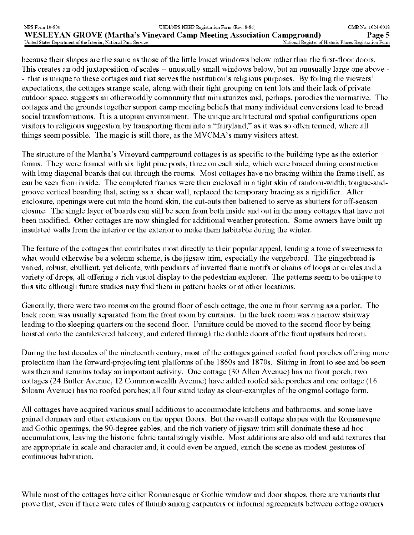because their shapes are the same as those of the little lancet windows below rather than the first-floor doors. This creates an odd juxtaposition of scales -- unusually small windows below, but an unusually large one above -- that is unique to these cottages and that serves the institution's religious purposes. By foiling the viewers' expectations, the cottages strange scale, along with their tight grouping on tent lots and their lack of private outdoor space, suggests an otherworldly community that miniaturizes and, perhaps, parodies the normative. The cottages and the grounds together support camp meeting beliefs that many individual conversions lead to broad social transformations. It is a utopian environment. The unique architectural and spatial configurations open visitors to religious suggestion by transporting them into a "fairyland," as it was so often termed, where all things seem possible. The magic is still there, as the MVCMA's many visitors attest.

The structure of the Martha's Vineyard campground cottages is as specific to the building type as the exterior forms. They were framed with six light pine posts, three on each side, which were braced during construction with long diagonal boards that cut through the rooms. Most cottages have no bracing within the frame itself, as can be seen from inside. The completed frames were then enclosed in a tight skin of random-width, tongue-andgroove vertical boarding that, acting as a shear wall, replaced the temporary bracing as a rigidifier. After enclosure, openings were cut into the board skin, the cut-outs then battened to serve as shutters for off-season closure. The single layer of boards can still be seen from both inside and out in the many cottages that have not been modified. Other cottages are now shingled for additional weather protection. Some owners have built up insulated walls from the interior or the exterior to make them habitable during the winter.

The feature of the cottages that contributes most directly to their popular appeal, lending a tone of sweetness to what would otherwise be a solemn scheme, is the jigsaw trim, especially the vergeboard. The gingerbread is varied, robust, ebullient, yet delicate, with pendants of inverted flame motifs or chains of loops or circles and a variety of drops, all offering a rich visual display to the pedestrian explorer. The patterns seem to be unique to this site although future studies may find them in pattern books or at other locations.

Generally, there were two rooms on the ground floor of each cottage, the one in front serving as a parlor. The back room was usually separated from the front room by curtains. In the back room was a narrow stairway leading to the sleeping quarters on the second floor. Furniture could be moved to the second floor by being hoisted onto the cantilevered balcony, and entered through the double doors of the front upstairs bedroom.

During the last decades of the nineteenth century, most of the cottages gained roofed front porches offering more protection than the forward-projecting tent platforms of the 1860s and 1870s. Sitting in front to see and be seen was then and remains today an important activity. One cottage (30 Alien Avenue) has no front porch, two cottages (24 Butler Avenue, 12 Commonwealth Avenue) have added roofed side porches and one cottage (16 Siloam Avenue) has no roofed porches; all four stand today as clear-examples of the original cottage form.

All cottages have acquired various small additions to accommodate kitchens and bathrooms, and some have gained dormers and other extensions on the upper floors. But the overall cottage shapes with the Romanesque and Gothic openings, the 90-degree gables, and the rich variety of jigsaw trim still dominate these ad hoc accumulations, leaving the historic fabric tantalizingly visible. Most additions are also old and add textures that are appropriate in scale and character and, it could even be argued, enrich the scene as modest gestures of continuous habitation.

While most of the cottages have either Romanesque or Gothic window and door shapes, there are variants that prove that, even if there were rules of thumb among carpenters or informal agreements between cottage owners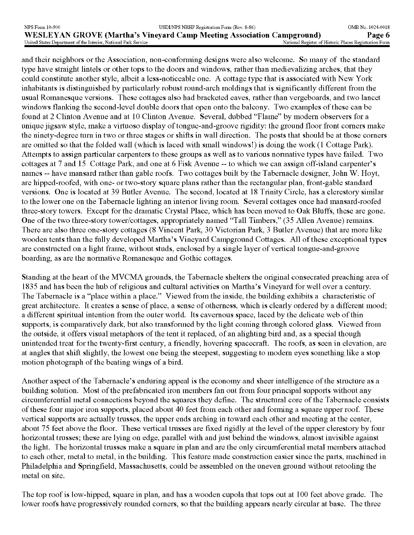and their neighbors or the Association, non-conforming designs were also welcome. So many of the standard type have straight lintels or other tops to the doors and windows, rather than medievalizing arches, that they could constitute another style, albeit a less-noticeable one. A cottage type that is associated with New York inhabitants is distinguished by particularly robust round-arch moldings that is significantly different from the usual Romanesque versions. These cottages also had bracketed eaves, rather than vergeboards, and two lancet windows flanking the second-level double doors that open onto the balcony. Two examples of these can be found at 2 Clinton Avenue and at 10 Clinton Avenue. Several, dubbed "Flame" by modern observers for a unique jigsaw style, make a virtuoso display of tongue-and-groove rigidity: the ground floor front corners make the ninety-degree turn in two or three stages or shifts in wall direction. The posts that should be at those corners are omitted so that the folded wall (which is laced with small windows!) is doing the work (1 Cottage Park). Attempts to assign particular carpenters to these groups as well as to various normative types have failed. Two cottages at 7 and 15 Cottage Park, and one at 6 Fisk Avenue -- to which we can assign off-island carpenter's names -- have mansard rather than gable roofs. Two cottages built by the Tabernacle designer, John W. Hoyt, are hipped-roofed, with one- or two-story square plans rather than the rectangular plan, front-gable standard versions. One is located at 39 Butler Avenue. The second, located at 18 Trinity Circle, has a clerestory similar to the lower one on the Tabernacle lighting an interior living room. Several cottages once had mansard-roofed three-story towers. Except for the dramatic Crystal Place, which has been moved to Oak Bluffs, these are gone. One of the two three-story tower/cottages, appropriately named "Tall Timbers," (35 Alien Avenue) remains. There are also three one-story cottages (8 Vincent Park, 30 Victorian Park, 3 Butler Avenue) that are more like wooden tents than the fully developed Martha's Vineyard Campground Cottages. All of these exceptional types are constructed on a light frame, without studs, enclosed by a single layer of vertical tongue-and-groove boarding, as are the normative Romanesque and Gothic cottages.

Standing at the heart of the MVCMA grounds, the Tabernacle shelters the original consecrated preaching area of 1835 and has been the hub of religious and cultural activities on Martha's Vineyard for well over a century. The Tabernacle is a "place within a place." Viewed from the inside, the building exhibits a characteristic of great architecture. It creates a sense of place, a sense of otherness, which is clearly ordered by a different mood; a different spiritual intention from the outer world. Its cavernous space, laced by the delicate web of thin supports, is comparatively dark, but also transformed by the light coming through colored glass. Viewed from the outside, it offers visual metaphors of the tent it replaced, of an alighting bird and, as a special though unintended treat for the twenty-first century, a friendly, hovering spacecraft. The roofs, as seen in elevation, are at angles that shift slightly, the lowest one being the steepest, suggesting to modern eyes something like a stop motion photograph of the beating wings of a bird.

Another aspect of the Tabernacle's enduring appeal is the economy and sheer intelligence of the structure as a building solution. Most of the prefabricated iron members fan out from four principal supports without any circumferential metal connections beyond the squares they define. The structural core of the Tabernacle consists of these four major iron supports, placed about 40 feet from each other and forming a square upper roof. These vertical supports are actually trusses, the upper ends arching in toward each other and meeting at the center, about 75 feet above the floor. These vertical trusses are fixed rigidly at the level of the upper clerestory by four horizontal trusses; these are lying on edge, parallel with and just behind the windows, almost invisible against the light. The horizontal trusses make a square in plan and are the only circumferential metal members attached to each other, metal to metal, in the building. This feature made construction easier since the parts, machined in Philadelphia and Springfield, Massachusetts, could be assembled on the uneven ground without retooling the metal on site.

The top roof is low-hipped, square in plan, and has a wooden cupola that tops out at 100 feet above grade. The lower roofs have progressively rounded corners, so that the building appears nearly circular at base. The three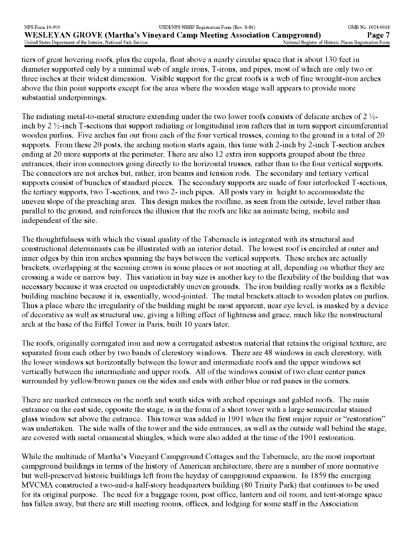tiers of great hovering roofs, plus the cupola, float above a nearly circular space that is about 130 feet in diameter supported only by a minimal web of angle irons, T-irons, and pipes, most of which are only two or three inches at their widest dimension. Visible support for the great roofs is a web of fine wrought-iron arches above the thin point supports except for the area where the wooden stage wall appears to provide more substantial underpinnings.

The radiating metal-to-metal structure extending under the two lower roofs consists of delicate arches of 2 *%*  inch by  $2 \frac{1}{2}$ -inch T-sections that support radiating or longitudinal iron rafters that in turn support circumferential wooden purlins. Five arches fan out from each of the four vertical trusses, coming to the ground in a total of 20 supports. From these 20 posts, the arching motion starts again, this time with 2-inch by 2-inch T-section arches ending at 20 more supports at the perimeter. There are also 12 extra iron supports grouped about the three entrances, their iron connectors going directly to the horizontal trusses, rather than to the four vertical supports. The connectors are not arches but, rather, iron beams and tension rods. The secondary and tertiary vertical supports consist of bunches of standard pieces. The secondary supports are made of four interlocked T-sections, the tertiary supports, two T-sections, and two 2- inch pipes. All posts vary in height to accommodate the uneven slope of the preaching area. This design makes the roofline, as seen from the outside, level rather than parallel to the ground, and reinforces the illusion that the roofs are like an animate being, mobile and independent of the site.

The thoughtfulness with which the visual quality of the Tabernacle is integrated with its structural and constructional determinants can be illustrated with an interior detail. The lowest roof is encircled at outer and inner edges by thin iron arches spanning the bays between the vertical supports. These arches are actually brackets, overlapping at the seeming crown in some places or not meeting at all, depending on whether they are crossing a wide or narrow bay. This variation in bay size is another key to the flexibility of the building that was necessary because it was erected on unpredictably uneven grounds. The iron building really works as a flexible building machine because it is, essentially, wood-jointed. The metal brackets attach to wooden plates on purlins. Thus a place where the irregularity of the building might be most apparent, near eye level, is masked by a device of decorative as well as structural use, giving a lifting effect of lightness and grace, much like the nonstructural arch at the base of the Eiffel Tower in Paris, built 10 years later.

The roofs, originally corrugated iron and now a corrugated asbestos material that retains the original texture, are separated from each other by two bands of clerestory windows. There are 48 windows in each clerestory, with the lower windows set horizontally between the lower and intermediate roofs and the upper windows set vertically between the intermediate and upper roofs. All of the windows consist of two clear center panes surrounded by yellow/brown panes on the sides and ends with either blue or red panes in the corners.

There are marked entrances on the north and south sides with arched openings and gabled roofs. The main entrance on the east side, opposite the stage, is in the form of a short tower with a large semicircular stained glass window set above the entrance. This tower was added in 1901 when the first major repair or "restoration" was undertaken. The side walls of the tower and the side entrances, as well as the outside wall behind the stage, are covered with metal ornamental shingles, which were also added at the time of the 1901 restoration.

While the multitude of Martha's Vineyard Campground Cottages and the Tabernacle, are the most important campground buildings in terms of the history of American architecture, there are a number of more normative but well-preserved historic buildings left from the heyday of campground expansion. In 1859 the emerging MVCMA constructed a two-and-a half-story headquarters building (80 Trinity Park) that continues to be used for its original purpose. The need for a baggage room, post office, lantern and oil room, and tent-storage space has fallen away, but there are still meeting rooms, offices, and lodging for some staff in the Association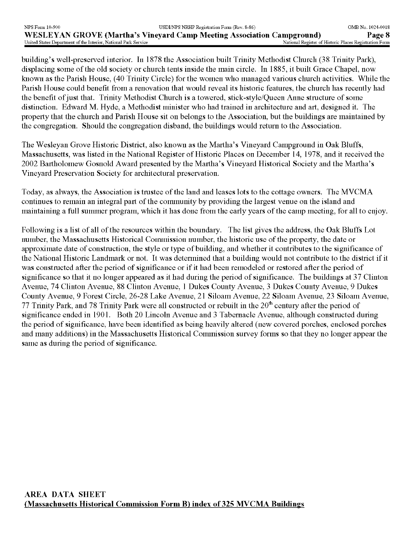building's well-preserved interior. In 1878 the Association built Trinity Methodist Church (38 Trinity Park), displacing some of the old society or church tents inside the main circle. In 1885, it built Grace Chapel, now known as the Parish House, (40 Trinity Circle) for the women who managed various church activities. While the Parish House could benefit from a renovation that would reveal its historic features, the church has recently had the benefit of just that. Trinity Methodist Church is a towered, stick-style/Queen Anne structure of some distinction. Edward M. Hyde, a Methodist minister who had trained in architecture and art, designed it. The property that the church and Parish House sit on belongs to the Association, but the buildings are maintained by the congregation. Should the congregation disband, the buildings would return to the Association.

The Wesleyan Grove Historic District, also known as the Martha's Vineyard Campground in Oak Bluffs, Massachusetts, was listed in the National Register of Historic Places on December 14, 1978, and it received the 2002 Bartholomew Gosnold Award presented by the Martha's Vineyard Historical Society and the Martha's Vineyard Preservation Society for architectural preservation.

Today, as always, the Association is trustee of the land and leases lots to the cottage owners. The MVCMA continues to remain an integral part of the community by providing the largest venue on the island and maintaining a full summer program, which it has done from the early years of the camp meeting, for all to enjoy.

Following is a list of all of the resources within the boundary. The list gives the address, the Oak Bluffs Lot number, the Massachusetts Historical Commission number, the historic use of the property, the date or approximate date of construction, the style or type of building, and whether it contributes to the significance of the National Historic Landmark or not. It was determined that a building would not contribute to the district if it was constructed after the period of significance or if it had been remodeled or restored after the period of significance so that it no longer appeared as it had during the period of significance. The buildings at 37 Clinton Avenue, 74 Clinton Avenue, 88 Clinton Avenue, 1 Dukes County Avenue, 3 Dukes County Avenue, 9 Dukes County Avenue, 9 Forest Circle, 26-28 Lake Avenue, 21 Siloam Avenue, 22 Siloam Avenue, 23 Siloam Avenue, 77 Trinity Park, and 78 Trinity Park were all constructed or rebuilt in the  $20<sup>th</sup>$  century after the period of significance ended in 1901. Both 20 Lincoln Avenue and 3 Tabernacle Avenue, although constructed during the period of significance, have been identified as being heavily altered (new covered porches, enclosed porches and many additions) in the Massachusetts Historical Commission survey forms so that they no longer appear the same as during the period of significance.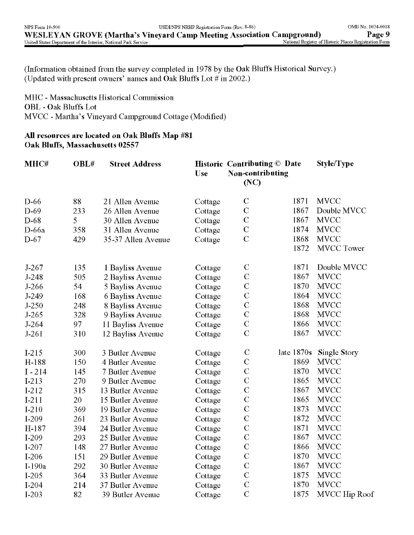(Information obtained from the survey completed in 1978 by the Oak Bluffs Historical Survey.) (Updated with present owners' names and Oak Bluffs Lot # in 2002.)

MHC - Massachusetts Historical Commission OBL - Oak Bluffs Lot MVCC - Martha's Vineyard Campground Cottage (Modified)

## **All resources are located on Oak Bluffs Map** #81 **Oak Bluffs, Massachusetts** 02557

| MHC#      | OBL# | <b>Street Address</b> | Use     | <b>Historic Contributing © Date</b><br><b>Non-contributing</b><br>(NC) |            | <b>Style/Type</b>    |
|-----------|------|-----------------------|---------|------------------------------------------------------------------------|------------|----------------------|
| $D-66$    | 88   | 21 Allen Avenue       | Cottage | $\mathbf C$                                                            | 1871       | <b>MVCC</b>          |
| D-69      | 233  | 26 Allen Avenue       | Cottage | $\mathbf C$                                                            | 1867       | Double MVCC          |
| $D-68$    | 5    | 30 Allen Avenue       | Cottage | ${\bf C}$                                                              | 1867       | <b>MVCC</b>          |
| D-66a     | 358  | 31 Allen Avenue       | Cottage | $\mathbf C$                                                            | 1874       | <b>MVCC</b>          |
| $D-67$    | 429  | 35-37 Allen Avenue    | Cottage | $\mathcal{C}$                                                          | 1868       | <b>MVCC</b>          |
|           |      |                       |         |                                                                        | 1872       | <b>MVCC</b> Tower    |
| $J-267$   | 135  | 1 Bayliss Avenue      | Cottage | $\mathbf C$                                                            | 1871       | Double MVCC          |
| $J-248$   | 505  | 2 Bayliss Avenue      | Cottage | $\mathcal{C}$                                                          | 1867       | <b>MVCC</b>          |
| $J-266$   | 54   | 5 Bayliss Avenue      | Cottage | $\mathbf C$                                                            | 1870       | <b>MVCC</b>          |
| $J-249$   | 168  | 6 Bayliss Avenue      | Cottage | $\mathcal{C}$                                                          | 1864       | <b>MVCC</b>          |
| $J-250$   | 248  | 8 Bayliss Avenue      | Cottage | $\mathcal{C}$                                                          | 1868       | <b>MVCC</b>          |
| $J-265$   | 328  | 9 Bayliss Avenue      | Cottage | $\mathcal{C}$                                                          | 1868       | <b>MVCC</b>          |
| $J-264$   | 97   | 11 Bayliss Avenue     | Cottage | $\mathbf C$                                                            | 1866       | <b>MVCC</b>          |
| $J-261$   | 310  | 12 Bayliss Avenue     | Cottage | $\mathbf C$                                                            | 1867       | <b>MVCC</b>          |
| $I-215$   | 300  | 3 Butler Avenue       | Cottage | $\mathcal{C}$                                                          | late 1870s | Single Story         |
| H-188     | 150  | 4 Butler Avenue       | Cottage | $\mathsf{C}$                                                           | 1869       | <b>MVCC</b>          |
| $I - 214$ | 145  | 7 Butler Avenue       | Cottage | $\mathbf C$                                                            | 1870       | <b>MVCC</b>          |
| $I-213$   | 270  | 9 Butler Avenue       | Cottage | $\mathcal{C}$                                                          | 1865       | <b>MVCC</b>          |
| $I-212$   | 315  | 13 Butler Avenue      | Cottage | $\mathbf C$                                                            | 1867       | <b>MVCC</b>          |
| $I-211$   | 20   | 15 Butler Avenue      | Cottage | $\mathcal{C}$                                                          | 1865       | <b>MVCC</b>          |
| $I-210$   | 369  | 19 Butler Avenue      | Cottage | $\mathbf C$                                                            | 1873       | <b>MVCC</b>          |
| $I-209$   | 261  | 23 Butler Avenue      | Cottage | $\mathbf C$                                                            | 1872       | <b>MVCC</b>          |
| H-187     | 394  | 24 Butler Avenue      | Cottage | $\mathcal{C}$                                                          | 1871       | <b>MVCC</b>          |
| $I-209$   | 293  | 25 Butler Avenue      | Cottage | $\mathbf C$                                                            | 1867       | <b>MVCC</b>          |
| $I-207$   | 148  | 27 Butler Avenue      | Cottage | $\mathcal{C}$                                                          | 1866       | <b>MVCC</b>          |
| $I-206$   | 151  | 29 Butler Avenue      | Cottage | $\mathbf C$                                                            | 1870       | <b>MVCC</b>          |
| $I-190a$  | 292  | 30 Butler Avenue      | Cottage | $\mathcal{C}$                                                          | 1867       | <b>MVCC</b>          |
| $I-205$   | 364  | 33 Butler Avenue      | Cottage | $\mathcal{C}$                                                          | 1875       | <b>MVCC</b>          |
| $I-204$   | 214  | 37 Butler Avenue      | Cottage | $\mathcal{C}$                                                          | 1870       | <b>MVCC</b>          |
| $I-203$   | 82   | 39 Butler Avenue      | Cottage | $\mathcal{C}$                                                          | 1875       | <b>MVCC Hip Roof</b> |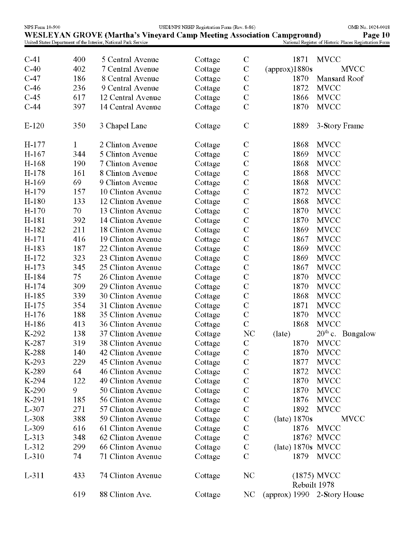| NPS Form 10-900 |     | <b>WESLEYAN GROVE (Martha's Vineyard Camp Meeting Association Campground)</b> | USDI/NPS NRHP Registration Form (Rev. 8-86) |                |                             | OMB No. 1024-0018<br>Page 10                           |
|-----------------|-----|-------------------------------------------------------------------------------|---------------------------------------------|----------------|-----------------------------|--------------------------------------------------------|
|                 |     | United States Department of the Interior, National Park Service               |                                             |                |                             | National Register of Historic Places Registration Form |
| $C-41$          | 400 | 5 Central Avenue                                                              | Cottage                                     | $\mathbf C$    | 1871                        | <b>MVCC</b>                                            |
| $C-40$          | 402 | 7 Central Avenue                                                              | Cottage                                     | $\mathbf C$    | (approx)1880s               | <b>MVCC</b>                                            |
| $C-47$          | 186 | 8 Central Avenue                                                              | Cottage                                     | $\mathbf C$    | 1870                        | Mansard Roof                                           |
| $C-46$          | 236 | 9 Central Avenue                                                              | Cottage                                     | $\mathbf C$    | 1872                        | <b>MVCC</b>                                            |
| $C-45$          | 617 | 12 Central Avenue                                                             | Cottage                                     | $\mathbf C$    | 1866                        | <b>MVCC</b>                                            |
| $C-44$          | 397 | 14 Central Avenue                                                             | Cottage                                     | $\mathcal{C}$  | 1870                        | <b>MVCC</b>                                            |
| $E-120$         | 350 | 3 Chapel Lane                                                                 | Cottage                                     | $\mathcal{C}$  | 1889                        | 3-Story Frame                                          |
| $H-177$         | 1   | 2 Clinton Avenue                                                              | Cottage                                     | $\mathbf C$    | 1868                        | <b>MVCC</b>                                            |
| $H-167$         | 344 | 5 Clinton Avenue                                                              | Cottage                                     | $\mathbf C$    | 1869                        | <b>MVCC</b>                                            |
| H-168           | 190 | 7 Clinton Avenue                                                              | Cottage                                     | $\mathsf C$    | 1868                        | <b>MVCC</b>                                            |
| $H-178$         | 161 | 8 Clinton Avenue                                                              | Cottage                                     | $\mathbf C$    | 1868                        | <b>MVCC</b>                                            |
| $H-169$         | 69  | 9 Clinton Avenue                                                              | Cottage                                     | $\mathbf C$    | 1868                        | <b>MVCC</b>                                            |
| H-179           | 157 | 10 Clinton Avenue                                                             | Cottage                                     | $\mathcal{C}$  | 1872                        | <b>MVCC</b>                                            |
| $H-180$         | 133 | 12 Clinton Avenue                                                             | Cottage                                     | $\mathbf C$    | 1868                        | <b>MVCC</b>                                            |
| $H-170$         | 70  | 13 Clinton Avenue                                                             | Cottage                                     | $\mathsf C$    | 1870                        | <b>MVCC</b>                                            |
| H-181           | 392 | 14 Clinton Avenue                                                             | Cottage                                     | $\mathbf C$    | 1870                        | <b>MVCC</b>                                            |
| H-182           | 211 | 18 Clinton Avenue                                                             | Cottage                                     | $\mathbf C$    | 1869                        | <b>MVCC</b>                                            |
| $H-171$         | 416 | 19 Clinton Avenue                                                             | Cottage                                     | $\mathbf C$    | 1867                        | <b>MVCC</b>                                            |
| H-183           | 187 | 22 Clinton Avenue                                                             | Cottage                                     | $\mathbf C$    | 1869                        | <b>MVCC</b>                                            |
| $H-172$         | 323 | 23 Clinton Avenue                                                             | Cottage                                     | $\mathbf C$    | 1869                        | <b>MVCC</b>                                            |
| $H-173$         | 345 | 25 Clinton Avenue                                                             | Cottage                                     | $\mathbf C$    | 1867                        | <b>MVCC</b>                                            |
| H-184           | 75  | 26 Clinton Avenue                                                             | Cottage                                     | $\mathsf{C}$   | 1870                        | <b>MVCC</b>                                            |
| $H-174$         | 309 | 29 Clinton Avenue                                                             | Cottage                                     | $\mathbf C$    | 1870                        | <b>MVCC</b>                                            |
| H-185           | 339 | 30 Clinton Avenue                                                             | Cottage                                     | $\mathsf{C}$   | 1868                        | <b>MVCC</b>                                            |
| $H-175$         | 354 | 31 Clinton Avenue                                                             | Cottage                                     | $\mathbf C$    | 1871                        | <b>MVCC</b>                                            |
| H-176           | 188 | 35 Clinton Avenue                                                             | Cottage                                     | $\mathbf C$    | 1870                        | <b>MVCC</b>                                            |
| H-186           | 413 | 36 Clinton Avenue                                                             | Cottage                                     | $\overline{C}$ | 1868                        | <b>MVCC</b>                                            |
| K-292           | 138 | 37 Clinton Avenue                                                             | Cottage                                     | NC             | (late)                      | $20th$ c. Bungalow                                     |
| K-287           | 319 | 38 Clinton Avenue                                                             | Cottage                                     | $\mathbf C$    | 1870                        | <b>MVCC</b>                                            |
| K-288           | 140 | 42 Clinton Avenue                                                             | Cottage                                     | $\mathbf C$    | 1870                        | <b>MVCC</b>                                            |
| K-293           | 229 | 45 Clinton Avenue                                                             | Cottage                                     | $\mathbf C$    | 1877                        | <b>MVCC</b>                                            |
| K-289           | 64  | 46 Clinton Avenue                                                             | Cottage                                     | $\mathbf C$    | 1872                        | <b>MVCC</b>                                            |
| K-294           | 122 | 49 Clinton Avenue                                                             | Cottage                                     | $\mathbf C$    | 1870                        | <b>MVCC</b>                                            |
| K-290           | 9   | 50 Clinton Avenue                                                             | Cottage                                     | $\mathbf C$    | 1870                        | <b>MVCC</b>                                            |
| K-291           | 185 | 56 Clinton Avenue                                                             | Cottage                                     | $\mathbf C$    | 1876                        | <b>MVCC</b>                                            |
| L-307           | 271 | 57 Clinton Avenue                                                             | Cottage                                     | $\mathbf C$    | 1892                        | <b>MVCC</b>                                            |
| L-308           | 388 | 59 Clinton Avenue                                                             | Cottage                                     | $\mathbf C$    | (late) $1870s$              | <b>MVCC</b>                                            |
| L-309           | 616 | 61 Clinton Avenue                                                             | Cottage                                     | $\mathbf C$    | 1876                        | <b>MVCC</b>                                            |
| L-313           | 348 | 62 Clinton Avenue                                                             | Cottage                                     | $\mathbf C$    | 1876?                       | <b>MVCC</b>                                            |
| L-312           | 299 | 66 Clinton Avenue                                                             | Cottage                                     | $\mathbf C$    | (late) $1870s$ MVCC         |                                                        |
| L-310           | 74  | 71 Clinton Avenue                                                             | Cottage                                     | $\mathbf C$    | 1879                        | <b>MVCC</b>                                            |
| $L-311$         | 433 | 74 Clinton Avenue                                                             | Cottage                                     | <b>NC</b>      | Rebuilt 1978                | $(1875)$ MVCC                                          |
|                 | 619 | 88 Clinton Ave.                                                               | Cottage                                     | NC             | (approx) 1990 2-Story House |                                                        |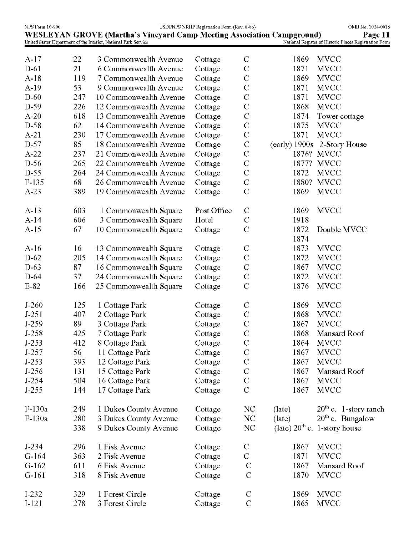| NPS Form 10-900 |     |                                                                               | USDI/NPS NRHP Registration Form (Rev. 8-86) |                       |              | OMB No. 1024-0018                                      |
|-----------------|-----|-------------------------------------------------------------------------------|---------------------------------------------|-----------------------|--------------|--------------------------------------------------------|
|                 |     | <b>WESLEYAN GROVE (Martha's Vineyard Camp Meeting Association Campground)</b> |                                             |                       |              | Page 11                                                |
|                 |     | United States Department of the Interior, National Park Service               |                                             |                       |              | National Register of Historic Places Registration Form |
| $A-17$          | 22  | 3 Commonwealth Avenue                                                         | Cottage                                     | $\mathbf C$           | 1869         | <b>MVCC</b>                                            |
| $D-61$          | 21  | 6 Commonwealth Avenue                                                         | Cottage                                     | $\mathbf C$           | 1871         | <b>MVCC</b>                                            |
| $A-18$          | 119 | 7 Commonwealth Avenue                                                         | Cottage                                     | $\mathbf C$           | 1869         | <b>MVCC</b>                                            |
| $A-19$          | 53  | 9 Commonwealth Avenue                                                         | Cottage                                     | $\mathcal{C}$         | 1871         | <b>MVCC</b>                                            |
| $D-60$          | 247 | 10 Commonwealth Avenue                                                        | Cottage                                     | $\mathbf C$           | 1871         | <b>MVCC</b>                                            |
| $D-59$          | 226 | 12 Commonwealth Avenue                                                        | Cottage                                     | $\mathcal{C}_{0}^{0}$ | 1868         | <b>MVCC</b>                                            |
| $A-20$          | 618 | 13 Commonwealth Avenue                                                        | Cottage                                     | $\mathbf C$           | 1874         | Tower cottage                                          |
| $D-58$          | 62  | 14 Commonwealth Avenue                                                        | Cottage                                     | $\mathbf C$           | 1875         | <b>MVCC</b>                                            |
| $A-21$          | 230 | 17 Commonwealth Avenue                                                        | Cottage                                     | $\mathbf C$           | 1871         | <b>MVCC</b>                                            |
| $D-57$          | 85  | 18 Commonwealth Avenue                                                        | Cottage                                     | $\mathbf C$           |              | (early) 1900s 2-Story House                            |
| $A-22$          | 237 | 21 Commonwealth Avenue                                                        | Cottage                                     | $\mathbf C$           |              | 1876? MVCC                                             |
| $D-56$          | 265 | 22 Commonwealth Avenue                                                        | Cottage                                     | $\mathbf C$           |              | 1877? MVCC                                             |
| $D-55$          | 264 | 24 Commonwealth Avenue                                                        | Cottage                                     | $\mathbf C$           | 1872         | <b>MVCC</b>                                            |
| $F-135$         | 68  | 26 Commonwealth Avenue                                                        | Cottage                                     | $\mathbf C$           |              | 1880? MVCC                                             |
| $A-23$          | 389 | 19 Commonwealth Avenue                                                        | Cottage                                     | $\overline{C}$        | 1869         | <b>MVCC</b>                                            |
|                 |     |                                                                               |                                             |                       |              |                                                        |
| $A-13$          | 603 | 1 Commonwealth Square                                                         | Post Office                                 | $\mathbf C$           | 1869         | <b>MVCC</b>                                            |
| $A-14$          | 606 | 3 Commonwealth Square                                                         | Hotel                                       | C                     | 1918         |                                                        |
| $A-15$          | 67  | 10 Commonwealth Square                                                        | Cottage                                     | $\mathbf C$           | 1872<br>1874 | Double MVCC                                            |
| $A-16$          | 16  | 13 Commonwealth Square                                                        | Cottage                                     | $\mathbf C$           | 1873         | <b>MVCC</b>                                            |
| $D-62$          | 205 | 14 Commonwealth Square                                                        | Cottage                                     | $\mathbf C$           | 1872         | <b>MVCC</b>                                            |
| $D-63$          | 87  | 16 Commonwealth Square                                                        | Cottage                                     | $\mathbf C$           | 1867         | <b>MVCC</b>                                            |
| $D-64$          | 37  | 24 Commonwealth Square                                                        | Cottage                                     | $\mathcal{C}$         | 1872         | <b>MVCC</b>                                            |
| $E-82$          | 166 | 25 Commonwealth Square                                                        | Cottage                                     | $\mathbf C$           | 1876         | <b>MVCC</b>                                            |
| $J-260$         | 125 | 1 Cottage Park                                                                | Cottage                                     | $\mathbf C$           | 1869         | <b>MVCC</b>                                            |
| $J-251$         | 407 | 2 Cottage Park                                                                | Cottage                                     | $\mathbf C$           | 1868         | <b>MVCC</b>                                            |
| $J-259$         | 89  | 3 Cottage Park                                                                | Cottage                                     | $\mathcal{C}$         | 1867         | <b>MVCC</b>                                            |
| J-258           | 425 | 7 Cottage Park                                                                | Cottage                                     | $\mathbf C$           | 1868         | Mansard Roof                                           |
| $J-253$         | 412 | 8 Cottage Park                                                                | Cottage                                     | $\mathbf C$           | 1864         | <b>MVCC</b>                                            |
| $J-257$         | 56  | 11 Cottage Park                                                               | Cottage                                     | $\mathbf C$           | 1867         | <b>MVCC</b>                                            |
| $J-253$         | 393 | 12 Cottage Park                                                               | Cottage                                     | $\mathcal{C}$         | 1867         | <b>MVCC</b>                                            |
| $J-256$         | 131 | 15 Cottage Park                                                               | Cottage                                     | $\mathbf C$           | 1867         | Mansard Roof                                           |
| $J-254$         | 504 | 16 Cottage Park                                                               | Cottage                                     | $\mathbf C$           | 1867         | <b>MVCC</b>                                            |
| $J-255$         | 144 | 17 Cottage Park                                                               | Cottage                                     | $\mathbf C$           | 1867         | <b>MVCC</b>                                            |
|                 |     |                                                                               |                                             |                       |              |                                                        |
| $F-130a$        | 249 | 1 Dukes County Avenue                                                         | Cottage                                     | N <sub>C</sub>        | (late)       | $20th$ c. 1-story ranch                                |
| F-130a          | 280 | 3 Dukes County Avenue                                                         | Cottage                                     | NC                    | (late)       | $20th$ c. Bungalow                                     |
|                 | 338 | 9 Dukes County Avenue                                                         | Cottage                                     | <b>NC</b>             |              | (late) $20^{th}$ c. 1-story house                      |
| $J-234$         | 296 | 1 Fisk Avenue                                                                 | Cottage                                     | $\mathbf C$           | 1867         | <b>MVCC</b>                                            |
| $G-164$         | 363 | 2 Fisk Avenue                                                                 | Cottage                                     | $\mathbf C$           | 1871         | <b>MVCC</b>                                            |
| $G-162$         | 611 | 6 Fisk Avenue                                                                 | Cottage                                     | $\mathcal{C}$         | 1867         | Mansard Roof                                           |
| $G-161$         | 318 | 8 Fisk Avenue                                                                 | Cottage                                     | $\mathcal{C}$         | 1870         | <b>MVCC</b>                                            |
| $I-232$         | 329 | 1 Forest Circle                                                               | Cottage                                     | $\mathcal{C}$         | 1869         | <b>MVCC</b>                                            |
| $I-121$         | 278 | 3 Forest Circle                                                               | Cottage                                     | $\mathcal{C}$         | 1865         | <b>MVCC</b>                                            |
|                 |     |                                                                               |                                             |                       |              |                                                        |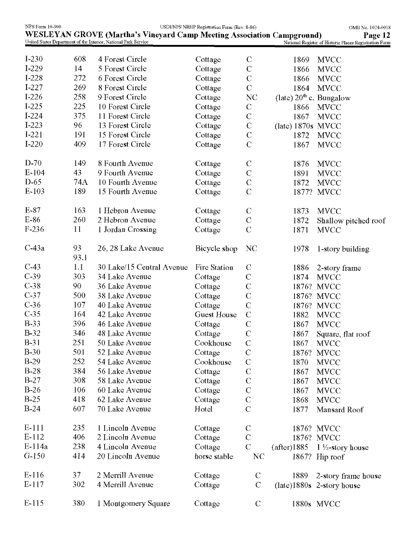| <b>NPS Form 10-900</b> |            |                                                                                                                                                  | USDI/NPS NRHP Registration Form (Rev. 8-86) |                       |                                     | OMB No. 1024-0018                                                 |
|------------------------|------------|--------------------------------------------------------------------------------------------------------------------------------------------------|---------------------------------------------|-----------------------|-------------------------------------|-------------------------------------------------------------------|
|                        |            | <b>WESLEYAN GROVE (Martha's Vineyard Camp Meeting Association Campground)</b><br>United States Department of the Interior, National Park Service |                                             |                       |                                     | Page 12<br>National Register of Historic Places Registration Form |
|                        |            |                                                                                                                                                  |                                             |                       |                                     |                                                                   |
| $I-230$                | 608        | 4 Forest Circle                                                                                                                                  | Cottage                                     | $\mathbf C$           | 1869                                | <b>MVCC</b>                                                       |
| $I-229$                | 14         | 5 Forest Circle                                                                                                                                  | Cottage                                     | $\mathcal{C}$         | 1866                                | <b>MVCC</b>                                                       |
| I-228                  | 272        | 6 Forest Circle                                                                                                                                  | Cottage                                     | $\mathcal{C}$         | 1866                                | <b>MVCC</b>                                                       |
| $I-227$                | 269        | 8 Forest Circle                                                                                                                                  | Cottage                                     | $\mathcal{C}$         | 1864                                | <b>MVCC</b>                                                       |
| $I-226$                | 258        | 9 Forest Circle                                                                                                                                  | Cottage                                     | NC                    | (late) $20^{\text{th}}$ c. Bungalow |                                                                   |
| $I-225$                | 225        | 10 Forest Circle                                                                                                                                 | Cottage                                     | $\mathcal{C}$         | 1866                                | <b>MVCC</b>                                                       |
| $I-224$                | 375        | 11 Forest Circle                                                                                                                                 | Cottage                                     | $\mathcal{C}$         | 1867                                | <b>MVCC</b>                                                       |
| $I-223$                | 96         | 13 Forest Circle                                                                                                                                 | Cottage                                     | $\mathcal{C}$         | (late) 1870s MVCC                   |                                                                   |
| $I-221$                | 191        | 15 Forest Circle                                                                                                                                 | Cottage                                     | $\mathcal{C}$         | 1872                                | <b>MVCC</b>                                                       |
| $I-220$                | 409        | 17 Forest Circle                                                                                                                                 | Cottage                                     | $\mathcal{C}$         | 1867                                | <b>MVCC</b>                                                       |
| $D-70$                 | 149        | 8 Fourth Avenue                                                                                                                                  | Cottage                                     | $\mathbf C$           | 1876                                | <b>MVCC</b>                                                       |
| $E-104$                | 43         | 9 Fourth Avenue                                                                                                                                  | Cottage                                     | $\mathcal{C}$         | 1891                                | <b>MVCC</b>                                                       |
| $D-65$                 | 74A        | 10 Fourth Avenue                                                                                                                                 | Cottage                                     | $\mathcal{C}$         | 1872                                | <b>MVCC</b>                                                       |
| $E-103$                | 189        | 15 Fourth Avenue                                                                                                                                 | Cottage                                     | $\mathcal{C}$         | 1877?                               | <b>MVCC</b>                                                       |
| $E-87$                 | 163        | 1 Hebron Avenue                                                                                                                                  | Cottage                                     | $\mathcal{C}$         | 1873                                | <b>MVCC</b>                                                       |
| E-86                   | 260        | 2 Hebron Avenue                                                                                                                                  | Cottage                                     | $\mathbf C$           | 1872                                | Shallow pitched roof                                              |
| F-236                  | 11         | 1 Jordan Crossing                                                                                                                                | Cottage                                     | $\mathcal{C}$         | 1871                                | <b>MVCC</b>                                                       |
| $C-43a$                | 93<br>93.1 | 26, 28 Lake Avenue                                                                                                                               | Bicycle shop                                | NC                    | 1978                                | 1-story building                                                  |
| $C-43$                 | 1.1        | 30 Lake/15 Central Avenue                                                                                                                        | Fire Station                                | $\mathcal{C}$         | 1886                                | 2-story frame                                                     |
| $C-39$                 | 303        | 34 Lake Avenue                                                                                                                                   | Cottage                                     | $\mathcal{C}$         | 1874                                | <b>MVCC</b>                                                       |
| $C-38$                 | 90         | 36 Lake Avenue                                                                                                                                   | Cottage                                     | $\mathbf C$           | 1876?                               | <b>MVCC</b>                                                       |
| $C-37$                 | 500        | 38 Lake Avenue                                                                                                                                   | Cottage                                     | $\mathcal{C}$         | 1876?                               | <b>MVCC</b>                                                       |
| $C-36$                 | 107        | 40 Lake Avenue                                                                                                                                   | Cottage                                     | $\mathbf C$           | 1876?                               | <b>MVCC</b>                                                       |
| $C-35$                 | 164        | 42 Lake Avenue                                                                                                                                   | <b>Guest House</b>                          | $\mathbf C$           | 1882                                | <b>MVCC</b>                                                       |
| <b>B-33</b>            | 396        | 46 Lake Avenue                                                                                                                                   | Cottage                                     | $\mathcal{C}$         | 1867                                | <b>MVCC</b>                                                       |
| $B-32$                 | 346        | 48 Lake Avenue                                                                                                                                   | Cottage                                     | $\mathcal{C}_{0}^{0}$ | 1867                                | Square, flat roof                                                 |
| $B-31$                 | 251        | 50 Lake Avenue                                                                                                                                   | Cookhouse                                   | $\mathcal{C}$         | 1867                                | <b>MVCC</b>                                                       |
| <b>B-30</b>            | 501        | 52 Lake Avenue                                                                                                                                   | Cottage                                     | $\mathbf C$           | 1876?                               | <b>MVCC</b>                                                       |
| $B-29$                 | 252        | 54 Lake Avenue                                                                                                                                   | Cookhouse                                   | $\mathcal{C}$         | 1870                                | <b>MVCC</b>                                                       |
| $B-28$                 | 384        | 56 Lake Avenue                                                                                                                                   | Cottage                                     | $\mathbf C$           | 1867                                | <b>MVCC</b>                                                       |
| $B-27$                 | 308        | 58 Lake Avenue                                                                                                                                   | Cottage                                     | $\mathbf C$           | 1867                                | <b>MVCC</b>                                                       |
| $B-26$                 | 106        | 60 Lake Avenue                                                                                                                                   | Cottage                                     | $\mathbf C$           | 1867                                | <b>MVCC</b>                                                       |
| $B-25$                 | 418        | 62 Lake Avenue                                                                                                                                   | Cottage                                     | $\mathbf C$           | 1868                                | <b>MVCC</b>                                                       |
| $B-24$                 | 607        | 70 Lake Avenue                                                                                                                                   | Hotel                                       | $\mathcal{C}$         | 1877                                | Mansard Roof                                                      |
| E-111                  | 235        | 1 Lincoln Avenue                                                                                                                                 | Cottage                                     | $\mathcal{C}$         |                                     | 1876? MVCC                                                        |
| $E-112$                | 406        | 2 Lincoln Avenue                                                                                                                                 | Cottage                                     | $\mathcal{C}$         |                                     | 1876? MVCC                                                        |
| $E-114a$               | 238        | 4 Lincoln Avenue                                                                                                                                 | Cottage                                     | $\mathcal{C}$         | (after)1885                         | $1\frac{1}{2}$ -story house                                       |
| $G-150$                | 414        | 20 Lincoln Avenue                                                                                                                                | horse stable                                | NC                    |                                     | 1867? Hip roof                                                    |
| $E-116$                | 37         | 2 Merrill Avenue                                                                                                                                 | Cottage                                     | $\mathbf C$           | 1889                                |                                                                   |
| $E-117$                | 302        | 4 Merrill Avenue                                                                                                                                 | Cottage                                     | $\mathcal{C}$         |                                     | 2-story frame house<br>(late)1880s 2-story house                  |
| $E-115$                | 380        | 1 Montgomery Square                                                                                                                              | Cottage                                     | $\mathcal{C}$         |                                     | 1880s MVCC                                                        |
|                        |            |                                                                                                                                                  |                                             |                       |                                     |                                                                   |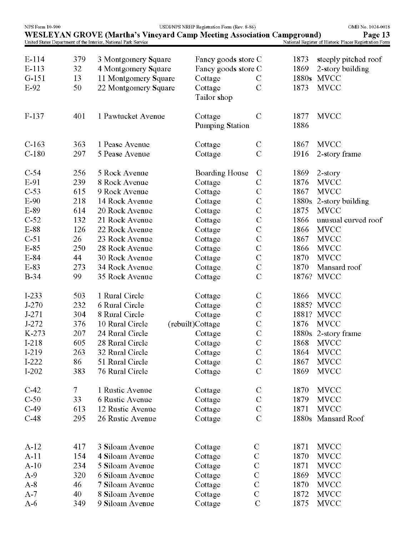| <b>NPS Form 10-900</b> |        | United States Department of the Interior, National Park Service | USDI/NPS NRHP Registration Form (Rev. 8-86)<br><b>WESLEYAN GROVE (Martha's Vineyard Camp Meeting Association Campground)</b> |               |              | OMB No. 1024-0018<br>Page 13<br>National Register of Historic Places Registration Form |
|------------------------|--------|-----------------------------------------------------------------|------------------------------------------------------------------------------------------------------------------------------|---------------|--------------|----------------------------------------------------------------------------------------|
|                        |        |                                                                 |                                                                                                                              |               |              |                                                                                        |
| $E-114$                | 379    | 3 Montgomery Square                                             | Fancy goods store C                                                                                                          |               | 1873         | steeply pitched roof                                                                   |
| $E-113$                | 32     | 4 Montgomery Square                                             | Fancy goods store C                                                                                                          |               | 1869         | 2-story building                                                                       |
| $G-151$                | 13     | 11 Montgomery Square                                            | Cottage                                                                                                                      | $\mathbf C$   | 1880s        | <b>MVCC</b>                                                                            |
| $E-92$                 | 50     | 22 Montgomery Square                                            | Cottage<br>Tailor shop                                                                                                       | $\mathbf C$   | 1873         | <b>MVCC</b>                                                                            |
| $F-137$                | 401    | 1 Pawtucket Avenue                                              | Cottage<br>Pumping Station                                                                                                   | $\mathbf C$   | 1877<br>1886 | <b>MVCC</b>                                                                            |
|                        |        |                                                                 |                                                                                                                              |               |              |                                                                                        |
| $C-163$                | 363    | 1 Pease Avenue                                                  | Cottage                                                                                                                      | $\mathcal{C}$ | 1867         | <b>MVCC</b>                                                                            |
| $C-180$                | 297    | 5 Pease Avenue                                                  | Cottage                                                                                                                      | $\mathcal{C}$ | 1916         | 2-story frame                                                                          |
| $C-54$                 | 256    | 5 Rock Avenue                                                   | Boarding House                                                                                                               | $\mathbf C$   | 1869         | 2-story                                                                                |
| E-91                   | 239    | 8 Rock Avenue                                                   | Cottage                                                                                                                      | $\mathcal{C}$ | 1876         | <b>MVCC</b>                                                                            |
| $C-53$                 | 615    | 9 Rock Avenue                                                   | Cottage                                                                                                                      | $\mathcal{C}$ | 1867         | <b>MVCC</b>                                                                            |
| $E-90$                 | 218    | 14 Rock Avenue                                                  | Cottage                                                                                                                      | $\mathbf C$   | 1880s        | 2-story building                                                                       |
| E-89                   | 614    | 20 Rock Avenue                                                  | Cottage                                                                                                                      | $\mathbf C$   | 1875         | <b>MVCC</b>                                                                            |
| $C-52$                 | 132    | 21 Rock Avenue                                                  | Cottage                                                                                                                      | $\mathbf C$   | 1866         | unusual curved roof                                                                    |
| E-88                   | 126    | 22 Rock Avenue                                                  | Cottage                                                                                                                      | $\mathbf C$   | 1866         | <b>MVCC</b>                                                                            |
| $C-51$                 | 26     | 23 Rock Avenue                                                  | Cottage                                                                                                                      | $\mathbf C$   | 1867         | <b>MVCC</b>                                                                            |
| $E-85$                 | 250    | 28 Rock Avenue                                                  | Cottage                                                                                                                      | $\mathbf C$   | 1866         | <b>MVCC</b>                                                                            |
| $E-84$                 | 44     | 30 Rock Avenue                                                  | Cottage                                                                                                                      | $\mathcal{C}$ | 1870         | <b>MVCC</b>                                                                            |
| E-83                   | 273    | 34 Rock Avenue                                                  | Cottage                                                                                                                      | $\mathbf C$   | 1870         | Mansard roof                                                                           |
| <b>B-34</b>            | 99     | 35 Rock Avenue                                                  | Cottage                                                                                                                      | $\mathcal{C}$ | 1876?        | <b>MVCC</b>                                                                            |
| $I-233$                | 503    | 1 Rural Circle                                                  | Cottage                                                                                                                      | $\mathcal{C}$ | 1866         | <b>MVCC</b>                                                                            |
| $J-270$                | 232    | 6 Rural Circle                                                  | Cottage                                                                                                                      | $\mathcal{C}$ | 1885?        | <b>MVCC</b>                                                                            |
| $J-271$                | 304    | 8 Rural Circle                                                  | Cottage                                                                                                                      | $\mathbf C$   | 1881?        | <b>MVCC</b>                                                                            |
| $J - 272$              | 376    | 10 Rural Circle                                                 | (rebuilt)Cottage                                                                                                             | $\mathcal{C}$ | 1876         | <b>MVCC</b>                                                                            |
| K-273                  | 207    | 24 Rural Circle                                                 | Cottage                                                                                                                      | $\mathbf C$   |              | 1880s 2-story frame                                                                    |
| I-218                  | 605    | 28 Rural Circle                                                 | Cottage                                                                                                                      | $\mathcal{C}$ | 1868         | <b>MVCC</b>                                                                            |
| I-219                  | 263    | 32 Rural Circle                                                 | Cottage                                                                                                                      | $\mathbf C$   | 1864         | <b>MVCC</b>                                                                            |
| $I-222$                | 86     | 51 Rural Circle                                                 | Cottage                                                                                                                      | $\mathcal{C}$ | 1867         | <b>MVCC</b>                                                                            |
| $I-202$                | 383    | 76 Rural Circle                                                 | Cottage                                                                                                                      | $\mathcal{C}$ | 1869         | <b>MVCC</b>                                                                            |
| $C-42$                 | $\tau$ | 1 Rustic Avenue                                                 | Cottage                                                                                                                      | $\mathbf C$   | 1870         | <b>MVCC</b>                                                                            |
| $C-50$                 | 33     | 6 Rustic Avenue                                                 | Cottage                                                                                                                      | $\mathbf C$   | 1879         | <b>MVCC</b>                                                                            |
| $C-49$                 | 613    | 12 Rustic Avenue                                                | Cottage                                                                                                                      | $\mathcal{C}$ | 1871         | <b>MVCC</b>                                                                            |
| $C-48$                 | 295    | 26 Rustic Avenue                                                | Cottage                                                                                                                      | $\mathcal{C}$ | 1880s        | Mansard Roof                                                                           |
| $A-12$                 | 417    | 3 Siloam Avenue                                                 | Cottage                                                                                                                      | $\mathcal{C}$ | 1871         | <b>MVCC</b>                                                                            |
| $A-11$                 | 154    | 4 Siloam Avenue                                                 | Cottage                                                                                                                      | $\mathbf C$   | 1870         | <b>MVCC</b>                                                                            |
| $A-10$                 | 234    | 5 Siloam Avenue                                                 | Cottage                                                                                                                      | $\mathcal{C}$ | 1871         | <b>MVCC</b>                                                                            |
| $A-9$                  | 320    | 6 Siloam Avenue                                                 | Cottage                                                                                                                      | $\mathbf C$   | 1869         | <b>MVCC</b>                                                                            |
| $A-8$                  | 46     | 7 Siloam Avenue                                                 | Cottage                                                                                                                      | $\mathcal{C}$ | 1870         | <b>MVCC</b>                                                                            |
| $A-7$                  | 40     | 8 Siloam Avenue                                                 | Cottage                                                                                                                      | $\mathcal{C}$ | 1872         | <b>MVCC</b>                                                                            |
| $A-6$                  | 349    | 9 Siloam Avenue                                                 | Cottage                                                                                                                      | $\mathcal{C}$ | 1875         | <b>MVCC</b>                                                                            |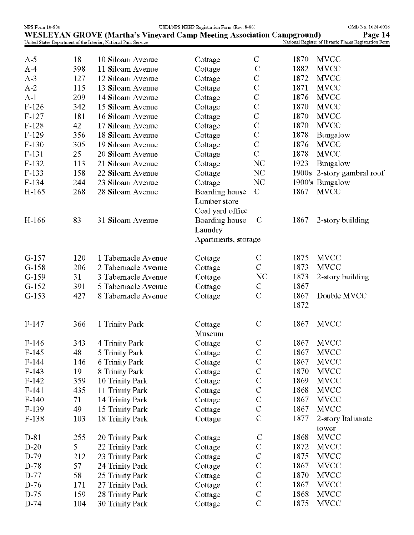| NPS Form 10-900 |     |                                                                        | USDI/NPS NRHP Registration Form (Rev. 8-86) |                |      | OMB No. 1024-0018                                      |
|-----------------|-----|------------------------------------------------------------------------|---------------------------------------------|----------------|------|--------------------------------------------------------|
|                 |     | WESLEYAN GROVE (Martha's Vineyard Camp Meeting Association Campground) |                                             |                |      | Page 14                                                |
|                 |     | United States Department of the Interior, National Park Service        |                                             |                |      | National Register of Historic Places Registration Form |
| $A-5$           | 18  | 10 Siloam Avenue                                                       | Cottage                                     | $\mathbf C$    | 1870 | <b>MVCC</b>                                            |
| $A-4$           | 398 | 11 Siloam Avenue                                                       | Cottage                                     | $\mathbf C$    | 1882 | <b>MVCC</b>                                            |
| $A-3$           | 127 | 12 Siloam Avenue                                                       | Cottage                                     | $\mathbf C$    | 1872 | <b>MVCC</b>                                            |
| $A-2$           | 115 | 13 Siloam Avenue                                                       | Cottage                                     | $\overline{C}$ | 1871 | <b>MVCC</b>                                            |
| $A-1$           | 209 | 14 Siloam Avenue                                                       | Cottage                                     | $\mathbf C$    | 1876 | <b>MVCC</b>                                            |
| $F-126$         | 342 | 15 Siloam Avenue                                                       | Cottage                                     | $\mathbf C$    | 1870 | <b>MVCC</b>                                            |
| $F-127$         | 181 | 16 Siloam Avenue                                                       | Cottage                                     | $\mathbf C$    | 1870 | <b>MVCC</b>                                            |
| $F-128$         | 42  | 17 Siloam Avenue                                                       | Cottage                                     | $\mathcal{C}$  | 1870 | <b>MVCC</b>                                            |
| $F-129$         | 356 | 18 Siloam Avenue                                                       | Cottage                                     | $\mathbf C$    | 1878 | Bungalow                                               |
| $F-130$         | 305 | 19 Siloam Avenue                                                       | Cottage                                     | $\overline{C}$ | 1876 | <b>MVCC</b>                                            |
| F-131           | 25  | 20 Siloam Avenue                                                       | Cottage                                     | $\mathcal{C}$  | 1878 | <b>MVCC</b>                                            |
| $F-132$         | 113 | 21 Siloam Avenue                                                       | Cottage                                     | <b>NC</b>      | 1923 | Bungalow                                               |
| $F-133$         | 158 | 22 Siloam Avenue                                                       | Cottage                                     | <b>NC</b>      |      | 1900s 2-story gambral roof                             |
| $F-134$         | 244 | 23 Siloam Avenue                                                       | Cottage                                     | <b>NC</b>      |      | 1900's Bungalow                                        |
| H-165           | 268 | 28 Siloam Avenue                                                       | Boarding house                              | $\mathcal{C}$  | 1867 | <b>MVCC</b>                                            |
|                 |     |                                                                        | Lumber store                                |                |      |                                                        |
|                 |     |                                                                        | Coal yard office                            |                |      |                                                        |
| H-166           | 83  | 31 Siloam Avenue                                                       | Boarding house                              | $\mathbf C$    | 1867 | 2-story building                                       |
|                 |     |                                                                        | Laundry                                     |                |      |                                                        |
|                 |     |                                                                        | Apartments, storage                         |                |      |                                                        |
|                 |     |                                                                        |                                             |                |      |                                                        |
| $G-157$         | 120 | 1 Tabernacle Avenue                                                    | Cottage                                     | $\mathbf C$    | 1875 | <b>MVCC</b>                                            |
| $G-158$         | 206 | 2 Tabernacle Avenue                                                    | Cottage                                     | $\mathcal{C}$  | 1873 | <b>MVCC</b>                                            |
| $G-159$         | 31  | 3 Tabernacle Avenue                                                    | Cottage                                     | N <sub>C</sub> | 1873 | 2-story building                                       |
| $G-152$         | 391 | 5 Tabernacle Avenue                                                    | Cottage                                     | $\mathcal{C}$  | 1867 |                                                        |
| $G-153$         | 427 | 8 Tabernacle Avenue                                                    | Cottage                                     | $\mathcal{C}$  | 1867 | Double MVCC                                            |
|                 |     |                                                                        |                                             |                | 1872 |                                                        |
|                 |     |                                                                        |                                             |                |      |                                                        |
| $F-147$         | 366 | 1 Trinity Park                                                         | Cottage                                     | $\mathbf C$    | 1867 | <b>MVCC</b>                                            |
|                 |     |                                                                        | Museum                                      |                |      |                                                        |
| $F-146$         | 343 | 4 Trinity Park                                                         | Cottage                                     | $\mathbf C$    | 1867 | <b>MVCC</b>                                            |
| $F-145$         | 48  | 5 Trinity Park                                                         | Cottage                                     | $\mathbf C$    | 1867 | <b>MVCC</b>                                            |
| $F-144$         | 146 | <b>6 Trinity Park</b>                                                  | Cottage                                     | $\mathbf C$    | 1867 | <b>MVCC</b>                                            |
| $F-143$         | 19  | 8 Trinity Park                                                         | Cottage                                     | $\mathbf C$    | 1870 | <b>MVCC</b>                                            |
| $F-142$         | 359 | 10 Trinity Park                                                        | Cottage                                     | $\mathbf C$    | 1869 | <b>MVCC</b>                                            |
| $F-141$         | 435 | 11 Trinity Park                                                        | Cottage                                     | $\mathbf C$    | 1868 | <b>MVCC</b>                                            |
| $F-140$         | 71  | 14 Trinity Park                                                        | Cottage                                     | $\overline{C}$ | 1867 | <b>MVCC</b>                                            |
| $F-139$         | 49  | 15 Trinity Park                                                        | Cottage                                     | $\overline{C}$ | 1867 | <b>MVCC</b>                                            |
| $F-138$         | 103 | 18 Trinity Park                                                        | Cottage                                     | $\overline{C}$ | 1877 | 2-story Italianate                                     |
|                 |     |                                                                        |                                             |                |      | tower                                                  |
| D-81            | 255 | 20 Trinity Park                                                        | Cottage                                     | $\mathcal{C}$  | 1868 | <b>MVCC</b>                                            |
| $D-20$          | 5   | 22 Trinity Park                                                        | Cottage                                     | $\mathbf C$    | 1872 | <b>MVCC</b>                                            |
| D-79            | 212 | 23 Trinity Park                                                        | Cottage                                     | $\mathbf C$    | 1875 | <b>MVCC</b>                                            |
| D-78            | 57  | 24 Trinity Park                                                        | Cottage                                     | $\mathbf C$    | 1867 | <b>MVCC</b>                                            |
| D-77            | 58  | 25 Trinity Park                                                        | Cottage                                     | $\mathbf C$    | 1870 | <b>MVCC</b>                                            |
| D-76            | 171 | 27 Trinity Park                                                        | Cottage                                     | $\mathbf C$    | 1867 | <b>MVCC</b>                                            |
| $D-75$          | 159 | 28 Trinity Park                                                        | Cottage                                     | $\mathbf C$    | 1868 | <b>MVCC</b>                                            |
| D-74            | 104 | 30 Trinity Park                                                        | Cottage                                     | $\mathbf C$    | 1875 | <b>MVCC</b>                                            |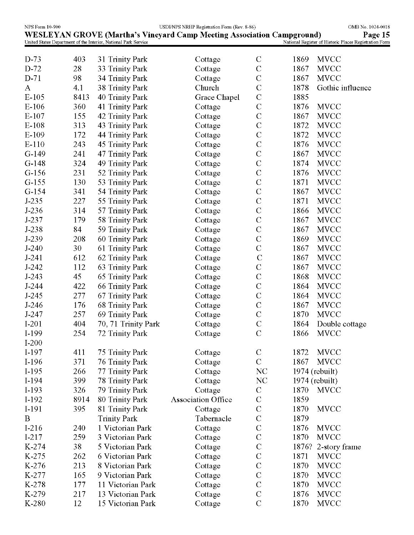| NPS Form 10-900 |      |                                                                 | USDI/NPS NRHP Registration Form (Rev. 8-86)                                   |                |                     | OMB No. 1024-0018                                      |
|-----------------|------|-----------------------------------------------------------------|-------------------------------------------------------------------------------|----------------|---------------------|--------------------------------------------------------|
|                 |      |                                                                 | <b>WESLEYAN GROVE (Martha's Vineyard Camp Meeting Association Campground)</b> |                |                     | Page 15                                                |
|                 |      | United States Department of the Interior, National Park Service |                                                                               |                |                     | National Register of Historic Places Registration Form |
| $D-73$          | 403  | 31 Trinity Park                                                 | Cottage                                                                       | $\mathbf C$    | <b>MVCC</b><br>1869 |                                                        |
| $D-72$          | 28   | 33 Trinity Park                                                 | Cottage                                                                       | $\mathbf C$    | 1867<br><b>MVCC</b> |                                                        |
| $D-71$          | 98   | 34 Trinity Park                                                 | Cottage                                                                       | $\mathbf C$    | 1867<br><b>MVCC</b> |                                                        |
| A               | 4.1  | 38 Trinity Park                                                 | Church                                                                        | $\mathcal{C}$  | 1878                | Gothic influence                                       |
| $E-105$         | 8413 | <b>40 Trinity Park</b>                                          | Grace Chapel                                                                  | $\mathbf C$    | 1885                |                                                        |
| $E-106$         | 360  | <b>41 Trinity Park</b>                                          | Cottage                                                                       | $\mathcal{C}$  | <b>MVCC</b><br>1876 |                                                        |
| $E-107$         | 155  | <b>42 Trinity Park</b>                                          | Cottage                                                                       | $\mathbf C$    | 1867<br><b>MVCC</b> |                                                        |
| $E-108$         | 313  | <b>43 Trinity Park</b>                                          | Cottage                                                                       | $\mathcal{C}$  | <b>MVCC</b><br>1872 |                                                        |
| $E-109$         | 172  | 44 Trinity Park                                                 | Cottage                                                                       | $\mathbf C$    | 1872<br><b>MVCC</b> |                                                        |
| E-110           | 243  | <b>45 Trinity Park</b>                                          | Cottage                                                                       | $\mathbf C$    | <b>MVCC</b><br>1876 |                                                        |
| $G-149$         | 241  | 47 Trinity Park                                                 | Cottage                                                                       | $\mathbf C$    | 1867<br><b>MVCC</b> |                                                        |
| $G-148$         | 324  | 49 Trinity Park                                                 | Cottage                                                                       | $\mathbf C$    | 1874<br><b>MVCC</b> |                                                        |
| $G-156$         | 231  | 52 Trinity Park                                                 | Cottage                                                                       | $\mathbf C$    | 1876<br><b>MVCC</b> |                                                        |
| $G-155$         | 130  | 53 Trinity Park                                                 | Cottage                                                                       | $\mathbf C$    | 1871<br><b>MVCC</b> |                                                        |
| $G-154$         | 341  | 54 Trinity Park                                                 | Cottage                                                                       | $\mathcal{C}$  | <b>MVCC</b><br>1867 |                                                        |
| $J-235$         | 227  | 55 Trinity Park                                                 | Cottage                                                                       | $\mathbf C$    | 1871<br><b>MVCC</b> |                                                        |
| $J-236$         | 314  | 57 Trinity Park                                                 | Cottage                                                                       | $\mathbf C$    | <b>MVCC</b><br>1866 |                                                        |
| $J-237$         | 179  | 58 Trinity Park                                                 | Cottage                                                                       | $\mathbf C$    | 1867<br><b>MVCC</b> |                                                        |
| J-238           | 84   | 59 Trinity Park                                                 | Cottage                                                                       | $\mathbf C$    | 1867<br><b>MVCC</b> |                                                        |
| J-239           | 208  | <b>60 Trinity Park</b>                                          | Cottage                                                                       | $\mathbf C$    | <b>MVCC</b><br>1869 |                                                        |
| $J-240$         | 30   | 61 Trinity Park                                                 | Cottage                                                                       | $\mathbf C$    | <b>MVCC</b><br>1867 |                                                        |
| $J-241$         | 612  | 62 Trinity Park                                                 | Cottage                                                                       | $\mathbf C$    | 1867<br><b>MVCC</b> |                                                        |
| $J-242$         | 112  | <b>63 Trinity Park</b>                                          | Cottage                                                                       | $\mathbf C$    | 1867<br><b>MVCC</b> |                                                        |
| $J-243$         | 45   | <b>65 Trinity Park</b>                                          | Cottage                                                                       | $\mathcal{C}$  | 1868<br><b>MVCC</b> |                                                        |
| $J-244$         | 422  | <b>66 Trinity Park</b>                                          | Cottage                                                                       | $\mathbf C$    | 1864<br><b>MVCC</b> |                                                        |
| $J-245$         | 277  | <b>67 Trinity Park</b>                                          | Cottage                                                                       | $\mathcal{C}$  | <b>MVCC</b><br>1864 |                                                        |
| $J-246$         | 176  | <b>68 Trinity Park</b>                                          | Cottage                                                                       | $\mathcal{C}$  | 1867<br><b>MVCC</b> |                                                        |
| $J-247$         | 257  | <b>69 Trinity Park</b>                                          | Cottage                                                                       | $\mathcal{C}$  | <b>MVCC</b><br>1870 |                                                        |
| $I-201$         | 404  | 70, 71 Trinity Park                                             | Cottage                                                                       | $\mathbf C$    | 1864                | Double cottage                                         |
| I-199           | 254  | <b>72 Trinity Park</b>                                          | Cottage                                                                       | $\mathbf C$    | <b>MVCC</b><br>1866 |                                                        |
| $I-200$         |      |                                                                 |                                                                               |                |                     |                                                        |
| I-197           | 411  | <b>75 Trinity Park</b>                                          | Cottage                                                                       | $\mathbf C$    | <b>MVCC</b><br>1872 |                                                        |
| I-196           | 371  | <b>76 Trinity Park</b>                                          | Cottage                                                                       | $\mathcal{C}$  | 1867<br><b>MVCC</b> |                                                        |
| $I-195$         | 266  | <b>77 Trinity Park</b>                                          | Cottage                                                                       | NC             | $1974$ (rebuilt)    |                                                        |
| $I-194$         | 399  | <b>78 Trinity Park</b>                                          | Cottage                                                                       | NC             | 1974 (rebuilt)      |                                                        |
| $I-193$         | 326  | <b>79 Trinity Park</b>                                          | Cottage                                                                       | ${\bf C}$      | 1870<br><b>MVCC</b> |                                                        |
| $I-192$         | 8914 | 80 Trinity Park                                                 | <b>Association Office</b>                                                     | $\mathbf C$    | 1859                |                                                        |
| I-191           | 395  | 81 Trinity Park                                                 | Cottage                                                                       | $\mathbf C$    | 1870<br><b>MVCC</b> |                                                        |
| B               |      | <b>Trinity Park</b>                                             | Tabernacle                                                                    | $\overline{C}$ | 1879                |                                                        |
| $I-216$         | 240  | 1 Victorian Park                                                | Cottage                                                                       | $\mathbf C$    | 1876<br><b>MVCC</b> |                                                        |
| $I-217$         | 259  | 3 Victorian Park                                                | Cottage                                                                       | $\mathbf C$    | 1870<br><b>MVCC</b> |                                                        |
| K-274           | 38   | 5 Victorian Park                                                | Cottage                                                                       | $\mathbf C$    | 1876?               | 2-story frame                                          |
| K-275           | 262  | 6 Victorian Park                                                | Cottage                                                                       | $\mathbf C$    | 1871<br><b>MVCC</b> |                                                        |
| K-276           | 213  | 8 Victorian Park                                                | Cottage                                                                       | $\mathcal{C}$  | 1870<br><b>MVCC</b> |                                                        |
| K-277           | 165  | 9 Victorian Park                                                | Cottage                                                                       | $\mathbf C$    | 1870<br><b>MVCC</b> |                                                        |
| K-278           | 177  | 11 Victorian Park                                               | Cottage                                                                       | $\mathbf C$    | 1870<br><b>MVCC</b> |                                                        |
| K-279           | 217  | 13 Victorian Park                                               | Cottage                                                                       | $\mathbf C$    | <b>MVCC</b><br>1876 |                                                        |
| K-280           | 12   | 15 Victorian Park                                               | Cottage                                                                       | $\mathbf C$    | 1870<br><b>MVCC</b> |                                                        |
|                 |      |                                                                 |                                                                               |                |                     |                                                        |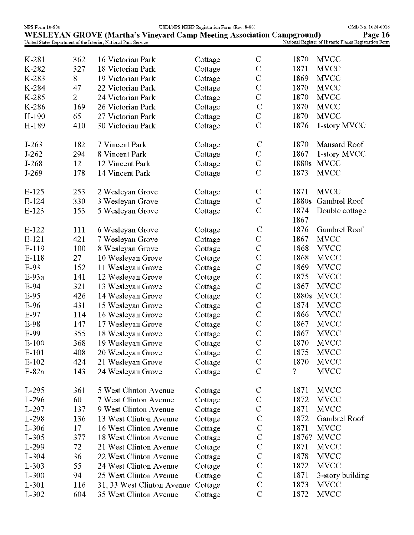| NPS Form 10-900 |                |                                                                               | USDI/NPS NRHP Registration Form (Rev. 8-86) |                |       | OMB No. 1024-0018                                      |
|-----------------|----------------|-------------------------------------------------------------------------------|---------------------------------------------|----------------|-------|--------------------------------------------------------|
|                 |                | <b>WESLEYAN GROVE (Martha's Vineyard Camp Meeting Association Campground)</b> |                                             |                |       | Page 16                                                |
|                 |                | United States Department of the Interior, National Park Service               |                                             |                |       | National Register of Historic Places Registration Form |
| K-281           | 362            | 16 Victorian Park                                                             | Cottage                                     | $\mathcal{C}$  | 1870  | <b>MVCC</b>                                            |
| K-282           | 327            | 18 Victorian Park                                                             | Cottage                                     | $\mathbf C$    | 1871  | <b>MVCC</b>                                            |
| K-283           | 8              | 19 Victorian Park                                                             | Cottage                                     | $\mathbf C$    | 1869  | <b>MVCC</b>                                            |
| K-284           | 47             | 22 Victorian Park                                                             | Cottage                                     | $\mathbf C$    | 1870  | <b>MVCC</b>                                            |
| K-285           | $\overline{2}$ | 24 Victorian Park                                                             | Cottage                                     | $\mathbf C$    | 1870  | <b>MVCC</b>                                            |
| K-286           | 169            | 26 Victorian Park                                                             | Cottage                                     | $\mathcal{C}$  | 1870  | <b>MVCC</b>                                            |
| H-190           | 65             | 27 Victorian Park                                                             | Cottage                                     | $\mathbf C$    | 1870  | <b>MVCC</b>                                            |
| H-189           | 410            | 30 Victorian Park                                                             | Cottage                                     | $\mathcal{C}$  | 1876  | 1-story MVCC                                           |
|                 |                |                                                                               |                                             |                |       |                                                        |
| $J-263$         | 182            | 7 Vincent Park                                                                | Cottage                                     | $\mathcal{C}$  | 1870  | Mansard Roof                                           |
| $J-262$         | 294            | 8 Vincent Park                                                                | Cottage                                     | $\mathbf C$    | 1867  | 1-story MVCC                                           |
| $J-268$         | 12             | 12 Vincent Park                                                               | Cottage                                     | $\mathbf C$    | 1880s | <b>MVCC</b>                                            |
| $J-269$         | 178            | 14 Vincent Park                                                               | Cottage                                     | $\mathcal{C}$  | 1873  | <b>MVCC</b>                                            |
|                 |                |                                                                               |                                             |                |       |                                                        |
| $E-125$         | 253            | 2 Wesleyan Grove                                                              | Cottage                                     | $\mathcal{C}$  | 1871  | <b>MVCC</b>                                            |
| $E-124$         | 330            | 3 Wesleyan Grove                                                              | Cottage                                     | $\mathcal{C}$  | 1880s | Gambrel Roof                                           |
| $E-123$         | 153            | 5 Wesleyan Grove                                                              | Cottage                                     | $\mathcal{C}$  | 1874  | Double cottage                                         |
|                 |                |                                                                               |                                             |                | 1867  |                                                        |
| E-122           | 111            | 6 Wesleyan Grove                                                              | Cottage                                     | $\mathcal{C}$  | 1876  | Gambrel Roof                                           |
| $E-121$         | 421            | 7 Wesleyan Grove                                                              | Cottage                                     | $\mathbf C$    | 1867  | <b>MVCC</b>                                            |
| E-119           | 100            | 8 Wesleyan Grove                                                              | Cottage                                     | $\mathcal{C}$  | 1868  | <b>MVCC</b>                                            |
| E-118           | 27             | 10 Wesleyan Grove                                                             | Cottage                                     | $\mathcal{C}$  | 1868  | <b>MVCC</b>                                            |
| E-93            | 152            | 11 Wesleyan Grove                                                             | Cottage                                     | $\mathcal{C}$  | 1869  | <b>MVCC</b>                                            |
| $E-93a$         | 141            | 12 Wesleyan Grove                                                             | Cottage                                     | $\mathcal{C}$  | 1875  | <b>MVCC</b>                                            |
| E-94            | 321            | 13 Wesleyan Grove                                                             | Cottage                                     | $\mathbf C$    | 1867  | <b>MVCC</b>                                            |
| E-95            | 426            | 14 Wesleyan Grove                                                             | Cottage                                     | $\mathbf C$    | 1880s | <b>MVCC</b>                                            |
| E-96            | 431            | 15 Wesleyan Grove                                                             | Cottage                                     | $\mathcal{C}$  | 1874  | <b>MVCC</b>                                            |
| E-97            | 114            | 16 Wesleyan Grove                                                             | Cottage                                     | $\overline{C}$ | 1866  | <b>MVCC</b>                                            |
| E-98            | 147            | 17 Wesleyan Grove                                                             | Cottage                                     | $\mathbf C$    | 1867  | <b>MVCC</b>                                            |
| E-99            | 355            | 18 Wesleyan Grove                                                             | Cottage                                     | $\mathbf C$    | 1867  | <b>MVCC</b>                                            |
| $E-100$         | 368            | 19 Wesleyan Grove                                                             | Cottage                                     | $\mathcal{C}$  | 1870  | <b>MVCC</b>                                            |
| $E-101$         | 408            | 20 Wesleyan Grove                                                             | Cottage                                     | $\mathbf C$    | 1875  | <b>MVCC</b>                                            |
| $E-102$         | 424            | 21 Wesleyan Grove                                                             | Cottage                                     | $\mathbf C$    | 1870  | <b>MVCC</b>                                            |
| $E-82a$         | 143            | 24 Wesleyan Grove                                                             | Cottage                                     | $\mathcal{C}$  | ş.    | <b>MVCC</b>                                            |
|                 |                |                                                                               |                                             |                |       |                                                        |
| $L-295$         | 361            | 5 West Clinton Avenue                                                         | Cottage                                     | $\mathcal{C}$  | 1871  | <b>MVCC</b>                                            |
| $L-296$         | 60             | 7 West Clinton Avenue                                                         | Cottage                                     | $\mathbf C$    | 1872  | <b>MVCC</b>                                            |
| L-297           | 137            | 9 West Clinton Avenue                                                         | Cottage                                     | $\mathbf C$    | 1871  | <b>MVCC</b>                                            |
| L-298           | 136            | 13 West Clinton Avenue                                                        | Cottage                                     | $\mathcal{C}$  | 1872  | Gambrel Roof                                           |
| $L-306$         | 17             | 16 West Clinton Avenue                                                        | Cottage                                     | $\mathcal{C}$  | 1871  | <b>MVCC</b>                                            |
| $L-305$         | 377            | 18 West Clinton Avenue                                                        | Cottage                                     | $\mathbf C$    | 1876? | <b>MVCC</b>                                            |
| L-299           | 72             | 21 West Clinton Avenue                                                        | Cottage                                     | $\mathcal{C}$  | 1871  | <b>MVCC</b>                                            |
| $L-304$         | 36             | 22 West Clinton Avenue                                                        | Cottage                                     | $\mathbf C$    | 1878  | <b>MVCC</b>                                            |
| $L-303$         | 55             | 24 West Clinton Avenue                                                        | Cottage                                     | $\mathcal{C}$  | 1872  | <b>MVCC</b>                                            |
| $L-300$         | 94             | 25 West Clinton Avenue                                                        |                                             | $\mathbf C$    | 1871  | 3-story building                                       |
| L-301           | 116            |                                                                               | Cottage                                     | $\mathcal{C}$  | 1873  | <b>MVCC</b>                                            |
|                 |                | 31, 33 West Clinton Avenue                                                    | Cottage                                     | $\mathbf C$    | 1872  | <b>MVCC</b>                                            |
| L-302           | 604            | 35 West Clinton Avenue                                                        | Cottage                                     |                |       |                                                        |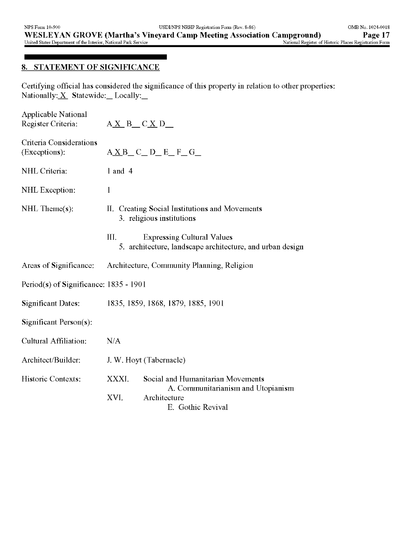## **8. STATEMENT OF SIGNIFICANCE**

Certifying official has considered the significance of this property in relation to other properties: Nationally: $X$  Statewide: Locally:

| Applicable National<br>Register Criteria: | $A\underline{X}B_C\underline{X}D$                                           |                                                                                                              |  |  |
|-------------------------------------------|-----------------------------------------------------------------------------|--------------------------------------------------------------------------------------------------------------|--|--|
| Criteria Considerations<br>(Exceptions):  |                                                                             | $A \underline{X}B$ <sub>_</sub> C_D_E_F_G_                                                                   |  |  |
| NHL Criteria:                             | $1$ and $4$                                                                 |                                                                                                              |  |  |
| NHL Exception:                            | 1                                                                           |                                                                                                              |  |  |
| $\text{NHL}$ Theme $(s)$ :                | II. Creating Social Institutions and Movements<br>3. religious institutions |                                                                                                              |  |  |
|                                           | III.                                                                        | <b>Expressing Cultural Values</b><br>5. architecture, landscape architecture, and urban design               |  |  |
| Areas of Significance:                    | Architecture, Community Planning, Religion                                  |                                                                                                              |  |  |
| Period(s) of Significance: 1835 - 1901    |                                                                             |                                                                                                              |  |  |
| <b>Significant Dates:</b>                 | 1835, 1859, 1868, 1879, 1885, 1901                                          |                                                                                                              |  |  |
| Significant Person $(s)$ :                |                                                                             |                                                                                                              |  |  |
| Cultural Affiliation:                     | N/A                                                                         |                                                                                                              |  |  |
| Architect/Builder:                        | J. W. Hoyt (Tabernacle)                                                     |                                                                                                              |  |  |
| Historic Contexts:                        | XXXI.                                                                       | Social and Humanitarian Movements<br>A. Communitarianism and Utopianism<br>Architecture<br>E. Gothic Revival |  |  |
|                                           | XVI.                                                                        |                                                                                                              |  |  |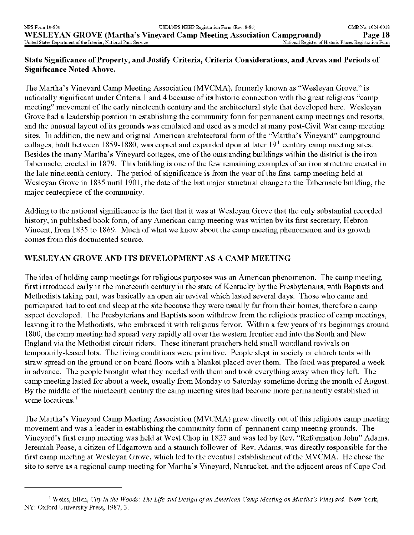## **State Significance of Property, and Justify Criteria, Criteria Considerations, and Areas and Periods of Significance Noted Above.**

The Martha's Vineyard Camp Meeting Association (MVCMA), formerly known as "Wesleyan Grove," is nationally significant under Criteria 1 and 4 because of its historic connection with the great religious "camp meeting" movement of the early nineteenth century and the architectural style that developed here. Wesleyan Grove had a leadership position in establishing the community form for permanent camp meetings and resorts, and the unusual layout of its grounds was emulated and used as a model at many post-Civil War camp meeting sites. In addition, the new and original American architectural form of the "Martha's Vineyard" campground cottages, built between 1859-1880, was copied and expanded upon at later  $19<sup>th</sup>$  century camp meeting sites. Besides the many Martha's Vineyard cottages, one of the outstanding buildings within the district is the iron Tabernacle, erected in 1879. This building is one of the few remaining examples of an iron structure created in the late nineteenth century. The period of significance is from the year of the first camp meeting held at Wesleyan Grove in 1835 until 1901, the date of the last major structural change to the Tabernacle building, the major centerpiece of the community.

Adding to the national significance is the fact that it was at Wesleyan Grove that the only substantial recorded history, in published book form, of any American camp meeting was written by its first secretary, Hebron Vincent, from 1835 to 1869. Much of what we know about the camp meeting phenomenon and its growth comes from this documented source.

## **WESLEYAN GROVE AND ITS DEVELOPMENT AS A CAMP MEETING**

The idea of holding camp meetings for religious purposes was an American phenomenon. The camp meeting, first introduced early in the nineteenth century in the state of Kentucky by the Presbyterians, with Baptists and Methodists taking part, was basically an open air revival which lasted several days. Those who came and participated had to eat and sleep at the site because they were usually far from their homes, therefore a camp aspect developed. The Presbyterians and Baptists soon withdrew from the religious practice of camp meetings, leaving it to the Methodists, who embraced it with religious fervor. Within a few years of its beginnings around 1800, the camp meeting had spread very rapidly all over the western frontier and into the South and New England via the Methodist circuit riders. These itinerant preachers held small woodland revivals on temporarily-leased lots. The living conditions were primitive. People slept in society or church tents with straw spread on the ground or on board floors with a blanket placed over them. The food was prepared a week in advance. The people brought what they needed with them and took everything away when they left. The camp meeting lasted for about a week, usually from Monday to Saturday sometime during the month of August. By the middle of the nineteenth century the camp meeting sites had become more permanently established in some locations. $<sup>1</sup>$ </sup>

The Martha's Vineyard Camp Meeting Association (MVCMA) grew directly out of this religious camp meeting movement and was a leader in establishing the community form of permanent camp meeting grounds. The Vineyard's first camp meeting was held at West Chop in 1827 and was led by Rev. "Reformation John" Adams. Jeremiah Pease, a citizen of Edgartown and a staunch follower of Rev. Adams, was directly responsible for the first camp meeting at Wesleyan Grove, which led to the eventual establishment of the MVCMA. He chose the site to serve as a regional camp meeting for Martha's Vineyard, Nantucket, and the adjacent areas of Cape Cod

<sup>1</sup> Weiss, Ellen, *City in the Woods: The Life and Design of an American Camp Meeting on Martha's Vineyard.* New York, NY: Oxford University Press, 1987, 3.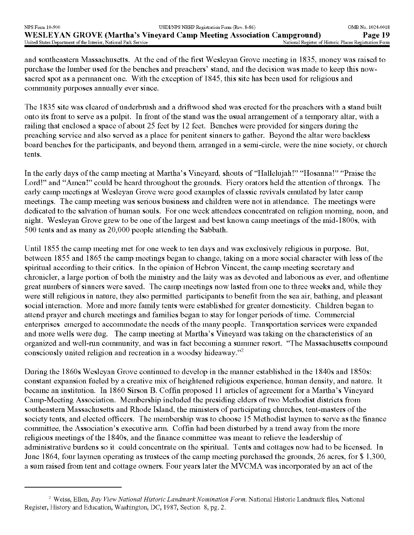and southeastern Massachusetts. At the end of the first Wesleyan Grove meeting in 1835, money was raised to purchase the lumber used for the benches and preachers' stand, and the decision was made to keep this nowsacred spot as a permanent one. With the exception of 1845, this site has been used for religious and community purposes annually ever since.

The 1835 site was cleared of underbrush and a driftwood shed was erected for the preachers with a stand built onto its front to serve as a pulpit. In front of the stand was the usual arrangement of a temporary altar, with a railing that enclosed a space of about 25 feet by 12 feet. Benches were provided for singers during the preaching service and also served as a place for penitent sinners to gather. Beyond the altar were backless board benches for the participants, and beyond them, arranged in a semi-circle, were the nine society, or church tents.

In the early days of the camp meeting at Martha's Vineyard, shouts of "Hallelujah!" "Hosanna!" "Praise the Lord!" and "Amen!" could be heard throughout the grounds. Fiery orators held the attention of throngs. The early camp meetings at Wesleyan Grove were good examples of classic revivals emulated by later camp meetings. The camp meeting was serious business and children were not in attendance. The meetings were dedicated to the salvation of human souls. For one week attendees concentrated on religion morning, noon, and night. Wesleyan Grove grew to be one of the largest and best known camp meetings of the mid-1800s, with 500 tents and as many as 20,000 people attending the Sabbath.

Until 1855 the camp meeting met for one week to ten days and was exclusively religious in purpose. But, between 1855 and 1865 the camp meetings began to change, taking on a more social character with less of the spiritual according to their critics. In the opinion of Hebron Vincent, the camp meeting secretary and chronicler, a large portion of both the ministry and the laity was as devoted and laborious as ever, and oftentime great numbers of sinners were saved. The camp meetings now lasted from one to three weeks and, while they were still religious in nature, they also permitted participants to benefit from the sea air, bathing, and pleasant social interaction. More and more family tents were established for greater domesticity. Children began to attend prayer and church meetings and families began to stay for longer periods of time. Commercial enterprises emerged to accommodate the needs of the many people. Transportation services were expanded and more wells were dug. The camp meeting at Martha's Vineyard was taking on the characteristics of an organized and well-run community, and was in fact becoming a summer resort. "The Massachusetts compound consciously united religion and recreation in a woodsy hideaway."2

During the 1860s Wesleyan Grove continued to develop in the manner established in the 1840s and 1850s: constant expansion fueled by a creative mix of heightened religious experience, human density, and nature. It became an institution. In 1860 Sirson B. Coffin proposed 11 articles of agreement for a Martha's Vineyard Camp-Meeting Association. Membership included the presiding elders of two Methodist districts from southeastern Massachusetts and Rhode Island, the ministers of participating churches, tent-masters of the society tents, and elected officers. The membership was to choose 15 Methodist laymen to serve as the finance committee, the Association's executive arm. Coffin had been disturbed by a trend away from the more religious meetings of the 1840s, and the finance committee was meant to relieve the leadership of administrative burdens so it could concentrate on the spiritual. Tents and cottages now had to be licensed. In June 1864, four laymen operating as trustees of the camp meeting purchased the grounds, 26 acres, for \$ 1,300, a sum raised from tent and cottage owners. Four years later the MVCMA was incorporated by an act of the

<sup>2</sup> Weiss, Ellen, *Bay View National Historic Landmark Nomination Form.* National Historic Landmark files, National Register, History and Education, Washington, DC, 1987, Section 8, pg. 2.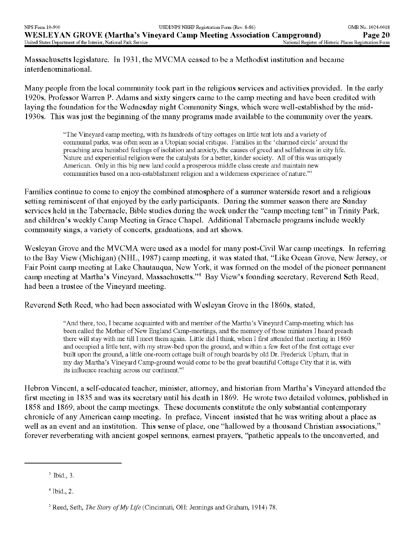Massachusetts legislature. In 1931, the MVCMA ceased to be a Methodist institution and became interdenominational.

Many people from the local community took part in the religious services and activities provided. In the early 1920s, Professor Warren P. Adams and sixty singers came to the camp meeting and have been credited with laying the foundation for the Wednesday night Community Sings, which were well-established by the mid-1930s. This was just the beginning of the many programs made available to the community over the years.

> "The Vineyard camp meeting, with its hundreds of tiny cottages on little tent lots and a variety of communal parks, was often seen as a Utopian social critique. Families in the 'charmed circle' around the preaching area banished feelings of isolation and anxiety, the causes of greed and selfishness in city life. Nature and experiential religion were the catalysts for a better, kinder society. All of this was uniquely American. Only in this big new land could a prosperous middle class create and maintain new communities based on a non-establishment religion and a wilderness experience of nature."3

Families continue to come to enjoy the combined atmosphere of a summer waterside resort and a religious setting reminiscent of that enjoyed by the early participants. During the summer season there are Sunday services held in the Tabernacle, Bible studies during the week under the "camp meeting tent" in Trinity Park, and children's weekly Camp Meeting in Grace Chapel. Additional Tabernacle programs include weekly community sings, a variety of concerts, graduations, and art shows.

Wesleyan Grove and the MVCMA were used as a model for many post-Civil War camp meetings. In referring to the Bay View (Michigan) (NHL, 1987) camp meeting, it was stated that, "Like Ocean Grove, New Jersey, or Fair Point camp meeting at Lake Chautauqua, New York, it was formed on the model of the pioneer permanent camp meeting at Martha's Vineyard, Massachusetts."4 Bay View's founding secretary, Reverend Seth Reed, had been a trustee of the Vineyard meeting.

Reverend Seth Reed, who had been associated with Wesleyan Grove in the 1860s, stated,

"And there, too, I became acquainted with and member of the Martha's Vineyard Camp-meeting which has been called the Mother of New England Camp-meetings, and the memory of those ministers I heard preach there will stay with me till I meet them again. Little did I think, when I first attended that meeting in 1860 and occupied a little tent, with my straw-bed upon the ground, and within a few feet of the first cottage ever built upon the ground, a little one-room cottage built of rough boards by old Dr. Frederick Upham, that in my day Martha's Vineyard Camp-ground would come to be the great beautiful Cottage City that it is, with its influence reaching across our continent."5

Hebron Vincent, a self-educated teacher, minister, attorney, and historian from Martha's Vineyard attended the first meeting in 1835 and was its secretary until his death in 1869. He wrote two detailed volumes, published in 1858 and 1869, about the camp meetings. These documents constitute the only substantial contemporary chronicle of any American camp meeting. In preface, Vincent insisted that he was writing about a place as well as an event and an institution. This sense of place, one "hallowed by a thousand Christian associations," forever reverberating with ancient gospel sermons, earnest prayers, "pathetic appeals to the unconverted, and

<sup>3</sup> Ibid., 3.

 $<sup>4</sup>$  Ibid., 2.</sup>

Reed, Seth, *The Story of My Life* (Cincinnati, OH: Jennings and Graham, 1914) 78.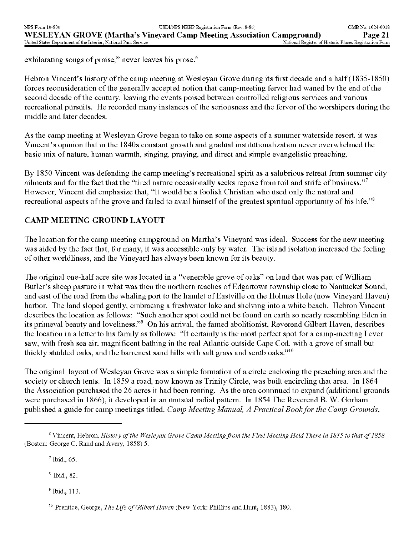exhilarating songs of praise," never leaves his prose.<sup>6</sup>

Hebron Vincent's history of the camp meeting at Wesleyan Grove during its first decade and a half (1835-1850) forces reconsideration of the generally accepted notion that camp-meeting fervor had waned by the end of the second decade of the century, leaving the events poised between controlled religious services and various recreational pursuits. He recorded many instances of the seriousness and the fervor of the worshipers during the middle and later decades.

As the camp meeting at Wesleyan Grove began to take on some aspects of a summer waterside resort, it was Vincent's opinion that in the 1840s constant growth and gradual institutionalization never overwhelmed the basic mix of nature, human warmth, singing, praying, and direct and simple evangelistic preaching.

By 1850 Vincent was defending the camp meeting's recreational spirit as a salubrious retreat from summer city ailments and for the fact that the "tired nature occasionally seeks repose from toil and strife of business."7 However, Vincent did emphasize that, "It would be a foolish Christian who used only the natural and recreational aspects of the grove and failed to avail himself of the greatest spiritual opportunity of his life."<sup>8</sup>

# **CAMP MEETING GROUND LAYOUT**

The location for the camp meeting campground on Martha's Vineyard was ideal. Success for the new meeting was aided by the fact that, for many, it was accessible only by water. The island isolation increased the feeling of other worldliness, and the Vineyard has always been known for its beauty.

The original one-half acre site was located in a 'Venerable grove of oaks" on land that was part of William Butler's sheep pasture in what was then the northern reaches of Edgartown township close to Nantucket Sound, and east of the road from the whaling port to the hamlet of Eastville on the Holmes Hole (now Vineyard Haven) harbor. The land sloped gently, embracing a freshwater lake and shelving into a white beach. Hebron Vincent describes the location as follows: "Such another spot could not be found on earth so nearly resembling Eden in its primeval beauty and loveliness."9 On his arrival, the famed abolitionist, Reverend Gilbert Haven, describes the location in a letter to his family as follows: "It certainly is the most perfect spot for a camp-meeting I ever saw, with fresh sea air, magnificent bathing in the real Atlantic outside Cape Cod, with a grove of small but thickly studded oaks, and the barrenest sand hills with salt grass and scrub oaks."10

The original layout of Wesleyan Grove was a simple formation of a circle enclosing the preaching area and the society or church tents. In 1859 a road, now known as Trinity Circle, was built encircling that area. In 1864 the Association purchased the 26 acres it had been renting. As the area continued to expand (additional grounds were purchased in 1866), it developed in an unusual radial pattern. In 1854 The Reverend B. W. Gorham published a guide for camp meetings titled, *Camp Meeting Manual, A Practical Book for the Camp Grounds,*

7 Ibid., 65.

8 Ibid., 82.

9 Ibid., 113.

<sup>10</sup> Prentice, George, *The Life of Gilbert Haven* (New York: Phillips and Hunt, 1883), 180.

*<sup>6</sup>*Vincent, Hebron, *History of the Wesleyan Grove Camp Meeting from the First Meeting Held There in 1835 to that of 1858*  (Boston: George C. Rand and Avery, 1858) 5.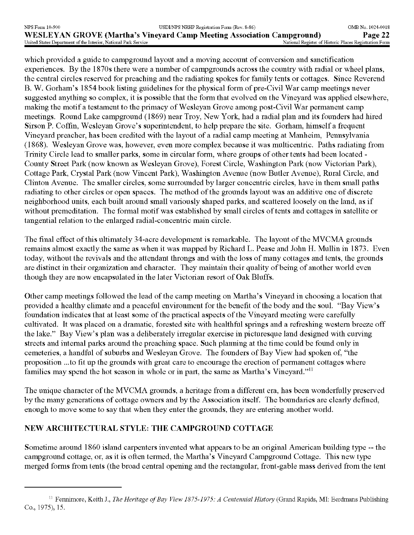which provided a guide to campground layout and a moving account of conversion and sanctification experiences. By the 1870s there were a number of campgrounds across the country with radial or wheel plans, the central circles reserved for preaching and the radiating spokes for family tents or cottages. Since Reverend B. W. Gorham's 1854 book listing guidelines for the physical form of pre-Civil War camp meetings never suggested anything so complex, it is possible that the form that evolved on the Vineyard was applied elsewhere, making the motif a testament to the primacy of Wesleyan Grove among post-Civil War permanent camp meetings. Round Lake campground (1869) near Troy, New York, had a radial plan and its founders had hired Sirson P. Coffin, Wesleyan Grove's superintendent, to help prepare the site. Gorham, himself a frequent Vineyard preacher, has been credited with the layout of a radial camp meeting at Manheim, Pennsylvania (1868). Wesleyan Grove was, however, even more complex because it was multicentric. Paths radiating from Trinity Circle lead to smaller parks, some in circular form, where groups of other tents had been located - County Street Park (now known as Wesleyan Grove), Forest Circle, Washington Park (now Victorian Park), Cottage Park, Crystal Park (now Vincent Park), Washington Avenue (now Butler Avenue), Rural Circle, and Clinton Avenue. The smaller circles, some surrounded by larger concentric circles, have in them small paths radiating to other circles or open spaces. The method of the grounds layout was an additive one of discrete neighborhood units, each built around small variously shaped parks, and scattered loosely on the land, as if without premeditation. The formal motif was established by small circles of tents and cottages in satellite or tangential relation to the enlarged radial-concentric main circle.

The final effect of this ultimately 34-acre development is remarkable. The layout of the MVCMA grounds remains almost exactly the same as when it was mapped by Richard L. Pease and John H. Mullin in 1873. Even today, without the revivals and the attendant throngs and with the loss of many cottages and tents, the grounds are distinct in their organization and character. They maintain their quality of being of another world even though they are now encapsulated in the later Victorian resort of Oak Bluffs.

Other camp meetings followed the lead of the camp meeting on Martha's Vineyard in choosing a location that provided a healthy climate and a peaceful environment for the benefit of the body and the soul. "Bay View's foundation indicates that at least some of the practical aspects of the Vineyard meeting were carefully cultivated. It was placed on a dramatic, forested site with healthful springs and a refreshing western breeze off the lake." Bay View's plan was a deliberately irregular exercise in picturesque land designed with curving streets and internal parks around the preaching space. Such planning at the time could be found only in cemeteries, a handful of suburbs and Wesleyan Grove. The founders of Bay View had spoken of, "the proposition ...to fit up the grounds with great care to encourage the erection of permanent cottages where families may spend the hot season in whole or in part, the same as Martha's Vineyard."<sup>11</sup>

The unique character of the MVCMA grounds, a heritage from a different era, has been wonderfully preserved by the many generations of cottage owners and by the Association itself. The boundaries are clearly defined, enough to move some to say that when they enter the grounds, they are entering another world.

## **NEW ARCHITECTURAL STYLE: THE CAMPGROUND COTTAGE**

Sometime around 1860 island carpenters invented what appears to be an original American building type -- the campground cottage, or, as it is often termed, the Martha's Vineyard Campground Cottage. This new type merged forms from tents (the broad central opening and the rectangular, front-gable mass derived from the tent

<sup>11</sup> Fennimore, Keith J., *The Heritage of Bay View 1875-1975: A Centennial History* (Grand Rapids, MI: Eerdmans Publishing Co., 1975), 15.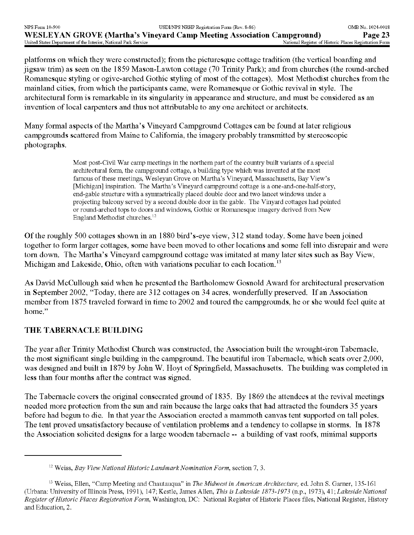platforms on which they were constructed); from the picturesque cottage tradition (the vertical boarding and jigsaw trim) as seen on the 1859 Mason-Lawton cottage (70 Trinity Park); and from churches (the round-arched Romanesque styling or ogive-arched Gothic styling of most of the cottages). Most Methodist churches from the mainland cities, from which the participants came, were Romanesque or Gothic revival in style. The architectural form is remarkable in its singularity in appearance and structure, and must be considered as an invention of local carpenters and thus not attributable to any one architect or architects.

Many formal aspects of the Martha's Vineyard Campground Cottages can be found at later religious campgrounds scattered from Maine to California, the imagery probably transmitted by stereoscopic photographs.

> Most post-Civil War camp meetings in the northern part of the country built variants of a special architectural form, the campground cottage, a building type which was invented at the most famous of these meetings, Wesleyan Grove on Martha's Vineyard, Massachusetts, Bay View's [Michigan] inspiration. The Martha's Vineyard campground cottage is a one-and-one-half-story, end-gable structure with a symmetrically placed double door and two lancet windows under a projecting balcony served by a second double door in the gable. The Vinyard cottages had pointed or round-arched tops to doors and windows, Gothic or Romanesque imagery derived from New England Methodist churches. <sup>12</sup>

Of the roughly 500 cottages shown in an 1880 bird's-eye view, 312 stand today. Some have been joined together to form larger cottages, some have been moved to other locations and some fell into disrepair and were torn down. The Martha's Vineyard campground cottage was imitated at many later sites such as Bay View, Michigan and Lakeside, Ohio, often with variations peculiar to each location.<sup>13</sup>

As David McCullough said when he presented the Bartholomew Gosnold Award for architectural preservation in September 2002, "Today, there are 312 cottages on 34 acres, wonderfully preserved. If an Association member from 1875 traveled forward in time to 2002 and toured the campgrounds, he or she would feel quite at home."

## **THE TABERNACLE BUILDING**

The year after Trinity Methodist Church was constructed, the Association built the wrought-iron Tabernacle, the most significant single building in the campground. The beautiful iron Tabernacle, which seats over 2,000, was designed and built in 1879 by John W. Hoyt of Springfield, Massachusetts. The building was completed in less than four months after the contract was signed.

The Tabernacle covers the original consecrated ground of 1835. By 1869 the attendees at the revival meetings needed more protection from the sun and rain because the large oaks that had attracted the founders 35 years before had begun to die. In that year the Association erected a mammoth canvas tent supported on tall poles. The tent proved unsatisfactory because of ventilation problems and a tendency to collapse in storms. In 1878 the Association solicited designs for a large wooden tabernacle -- a building of vast roofs, minimal supports

<sup>12</sup> Weiss, *Bay View National Historic Landmark Nomination Form,* section 7, 3.

<sup>13</sup> Weiss, Ellen, "Camp Meeting and Chautauqua" in *The Midwest in American Architecture,* ed. John S. Garner, 135-161 (Urbana: University of Illinois Press, 1991), 147; Kestle, James Alien, *This is Lakeside 1873-1973* (n.p., 1973), 41; *Lakeside National Register of Historic Places Registration Form,* Washington, DC: National Register of Historic Places files, National Register, History and Education, 2.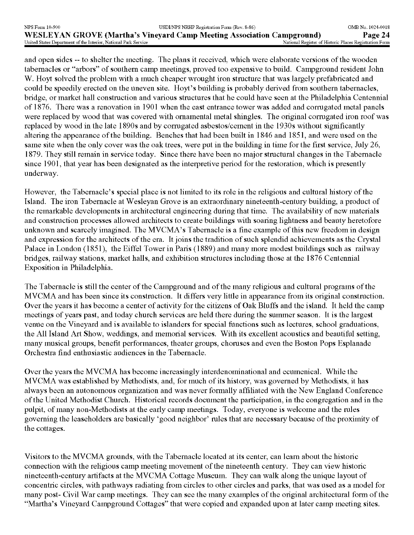and open sides -- to shelter the meeting. The plans it received, which were elaborate versions of the wooden tabernacles or "arbors" of southern camp meetings, proved too expensive to build. Campground resident John W. Hoyt solved the problem with a much cheaper wrought iron structure that was largely prefabricated and could be speedily erected on the uneven site. Hoyt's building is probably derived from southern tabernacles, bridge, or market hall construction and various structures that he could have seen at the Philadelphia Centennial of 1876. There was a renovation in 1901 when the east entrance tower was added and corrugated metal panels were replaced by wood that was covered with ornamental metal shingles. The original corrugated iron roof was replaced by wood in the late 1890s and by corrugated asbestos/cement in the 1930s without significantly altering the appearance of the building. Benches that had been built in 1846 and 1851, and were used on the same site when the only cover was the oak trees, were put in the building in time for the first service, July 26, 1879. They still remain in service today. Since there have been no major structural changes in the Tabernacle since 1901, that year has been designated as the interpretive period for the restoration, which is presently underway.

However, the Tabernacle's special place is not limited to its role in the religious and cultural history of the Island. The iron Tabernacle at Wesleyan Grove is an extraordinary nineteenth-century building, a product of the remarkable developments in architectural engineering during that time. The availability of new materials and construction processes allowed architects to create buildings with soaring lightness and beauty heretofore unknown and scarcely imagined. The MVCMA's Tabernacle is a fine example of this new freedom in design and expression for the architects of the era. It joins the tradition of such splendid achievements as the Crystal Palace in London (1851), the Eiffel Tower in Paris (1889) and many more modest buildings such as railway bridges, railway stations, market halls, and exhibition structures including those at the 1876 Centennial Exposition in Philadelphia.

The Tabernacle is still the center of the Campground and of the many religious and cultural programs of the MVCMA and has been since its construction. It differs very little in appearance from its original construction. Over the years it has become a center of activity for the citizens of Oak Bluffs and the island. It held the camp meetings of years past, and today church services are held there during the summer season. It is the largest venue on the Vineyard and is available to islanders for special functions such as lectures, school graduations, the All Island Art Show, weddings, and memorial services. With its excellent acoustics and beautiful setting, many musical groups, benefit performances, theater groups, choruses and even the Boston Pops Esplanade Orchestra find enthusiastic audiences in the Tabernacle.

Over the years the MVCMA has become increasingly interdenominational and ecumenical. While the MVCMA was established by Methodists, and, for much of its history, was governed by Methodists, it has always been an autonomous organization and was never formally affiliated with the New England Conference of the United Methodist Church. Historical records document the participation, in the congregation and in the pulpit, of many non-Methodists at the early camp meetings. Today, everyone is welcome and the rules governing the leaseholders are basically 'good neighbor' rules that are necessary because of the proximity of the cottages.

Visitors to the MVCMA grounds, with the Tabernacle located at its center, can learn about the historic connection with the religious camp meeting movement of the nineteenth century. They can view historic nineteenth-century artifacts at the MVCMA Cottage Museum. They can walk along the unique layout of concentric circles, with pathways radiating from circles to other circles and parks, that was used as a model for many post- Civil War camp meetings. They can see the many examples of the original architectural form of the "Martha's Vineyard Campground Cottages" that were copied and expanded upon at later camp meeting sites.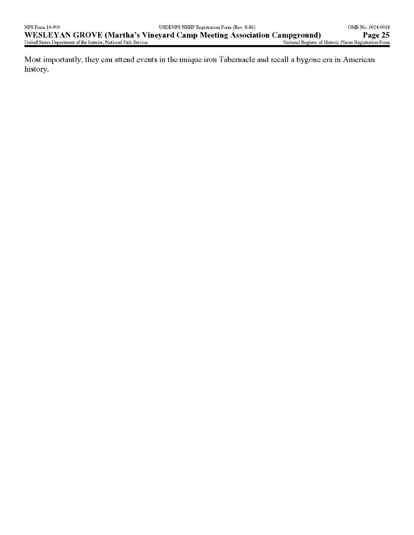Most importantly, they can attend events in the unique iron Tabernacle and recall a bygone era in American history.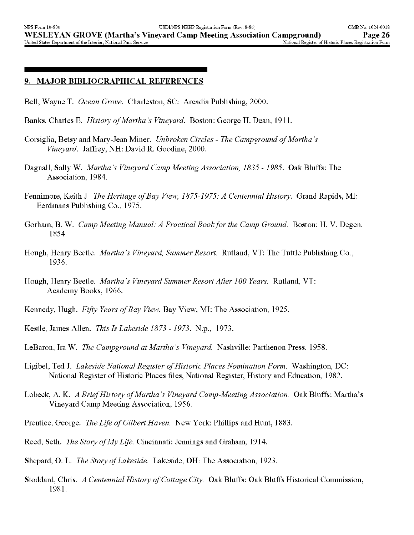#### **9. MAJOR BIBLIOGRAPHICAL REFERENCES**

- Bell, Wayne T. *Ocean Grove.* Charleston, SC: Arcadia Publishing, 2000.
- Banks, Charles E. *History of Martha's Vineyard.* Boston: George H. Dean, 1911.
- Corsiglia, Betsy and Mary-Jean Miner. *Unbroken Circles The Campground of Martha's Vineyard.* Jaffrey, NH: David R. Goodine, 2000.
- Dagnall, Sally W. *Martha's Vineyard Camp Meeting Association, 1835 -1985.* Oak Bluffs: The Association, 1984.
- Fennimore, Keith J. *The Heritage of Bay View, 1875-1975: A Centennial History.* Grand Rapids, MI: Eerdmans Publishing Co., 1975.
- Gorham, B. W. *Camp Meeting Manual: A Practical Book for the Camp Ground.* Boston: H. V. Degen, 1854
- Hough, Henry Beetle. *Martha's Vineyard, Summer Resort.* Rutland, VT: The Tuttle Publishing Co., 1936.
- Hough, Henry Beetle. *Martha's Vineyard Summer Resort After 100 Years.* Rutland, VT: Academy Books, 1966.
- Kennedy, Hugh. *Fifty Years of Bay View.* Bay View, MI: The Association, 1925.
- Kestle, James Alien. *This Is Lakeside 1873 -1973.* N.p., 1973.
- LeBaron, Ira W. *The Campground at Martha's Vineyard.* Nashville: Parthenon Press, 1958.
- Ligibel, Ted J. *Lakeside National Register of Historic Places Nomination Form.* Washington, DC: National Register of Historic Places files, National Register, History and Education, 1982.
- Lobeck, A. K. *A Brief History of Martha's Vineyard Camp-Meeting Association.* Oak Bluffs: Martha's Vineyard Camp Meeting Association, 1956.
- Prentice, George. *The Life of Gilbert Haven.* New York: Phillips and Hunt, 1883.
- Reed, Seth. *The Story of My Life.* Cincinnati: Jennings and Graham, 1914.
- Shepard, O. L. *The Story of Lakeside.* Lakeside, OH: The Association, 1923.
- Stoddard, Chris. *A Centennial History of Cottage City.* Oak Bluffs: Oak Bluffs Historical Commission, 1981.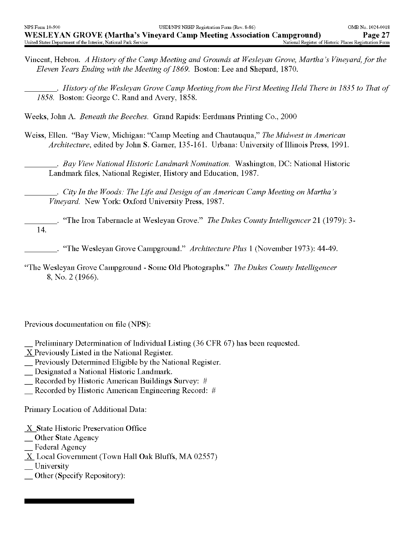Vincent, Hebron. *A History of the Camp Meeting and Grounds at Wesleyan Grove, Martha's Vineyard, for the Eleven Years Ending with the Meeting of 1869.* Boston: Lee and Shepard, 1870.

\_\_\_\_\_\_. *History of the Wesleyan Grove Camp Meeting from the First Meeting Held There in 1835 to That of 1858.* Boston: George C. Rand and Avery, 1858.

- Weeks, John A. *Beneath the Beeches.* Grand Rapids: Eerdmans Printing Co., 2000
- Weiss, Ellen. "Bay View, Michigan: "Camp Meeting and Chautauqua," *The Midwest in American Architecture,* edited by John S. Garner, 135-161. Urbana: University of Illinois Press, 1991.

\_\_\_\_\_\_. *Bay View National Historic Landmark Nomination.* Washington, DC: National Historic Landmark files, National Register, History and Education, 1987.

\_. *City In the Woods: The Life and Design of an American Camp Meeting on Martha's Vineyard.* New York: Oxford University Press, 1987.

- \_. "The Iron Tabernacle at Wesleyan Grove." *The Dukes County Intelligencer 21* (1979): 3- 14.
	- \_\_\_\_. "The Wesleyan Grove Campground." *Architecture Plus* 1 (November 1973): 44-49.
- 'The Wesleyan Grove Campground Some Old Photographs." *The Dukes County Intelligencer*  8, No. 2(1966).

Previous documentation on file (NPS):

- Preliminary Determination of Individual Listing (36 CFR 67) has been requested.
- X Previously Listed in the National Register.
- \_ Previously Determined Eligible by the National Register.
- \_ Designated a National Historic Landmark.
- \_ Recorded by Historic American Buildings Survey: #
- \_ Recorded by Historic American Engineering Record: #

Primary Location of Additional Data:

- X State Historic Preservation Office
- \_ Other State Agency
- \_ Federal Agency
- $X$  Local Government (Town Hall Oak Bluffs, MA 02557)
- University
- \_ Other (Specify Repository):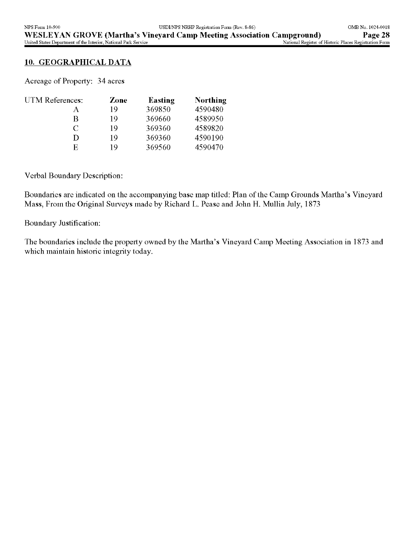#### **10. GEOGRAPHICAL DATA**

Acreage of Property: 34 acres

| UTM References: | Zone | <b>Easting</b> | Northing |
|-----------------|------|----------------|----------|
| А               | 10   | 369850         | 4590480  |
| R               | 19   | 369660         | 4589950  |
| $\subset$       | 19   | 369360         | 4589820  |
| D               | 10   | 369360         | 4590190  |
| E,              | 10   | 369560         | 4590470  |

Verbal Boundary Description:

Boundaries are indicated on the accompanying base map titled: Plan of the Camp Grounds Martha's Vineyard Mass, From the Original Surveys made by Richard L. Pease and John H. Mullin July, 1873

Boundary Justification:

The boundaries include the property owned by the Martha's Vineyard Camp Meeting Association in 1873 and which maintain historic integrity today.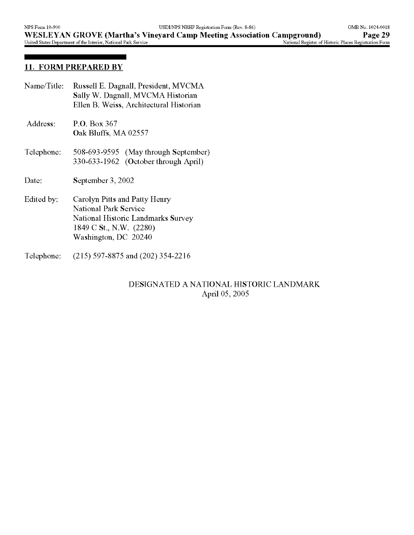## **11. FORM PREPARED BY**

| Name/Title: | Russell E. Dagnall, President, MVCMA<br>Sally W. Dagnall, MVCMA Historian<br>Ellen B. Weiss, Architectural Historian                            |
|-------------|-------------------------------------------------------------------------------------------------------------------------------------------------|
| Address:    | P.O. Box 367<br>Oak Bluffs, MA 02557                                                                                                            |
| Telephone:  | 508-693-9595 (May through September)<br>330-633-1962 (October through April)                                                                    |
| Date:       | September 3, 2002                                                                                                                               |
| Edited by:  | Carolyn Pitts and Patty Henry<br>National Park Service<br>National Historic Landmarks Survey<br>1849 C St., N.W. (2280)<br>Washington, DC 20240 |
| Telephone:  | $(215)$ 597-8875 and $(202)$ 354-2216                                                                                                           |

## DESIGNATED A NATIONAL HISTORIC LANDMARK April 05, 2005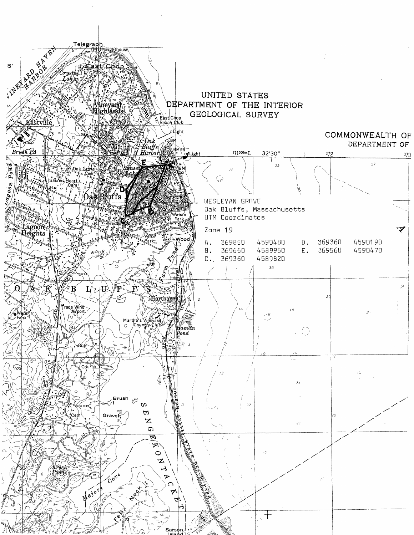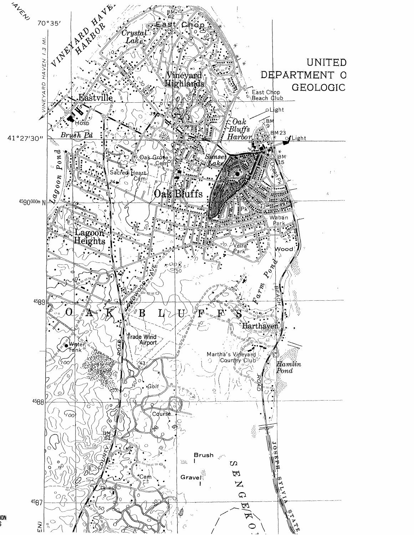

١O٨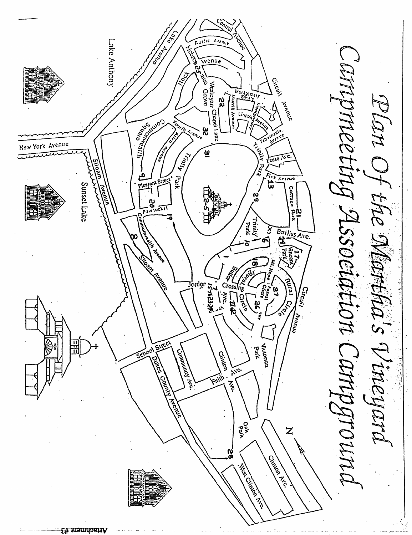